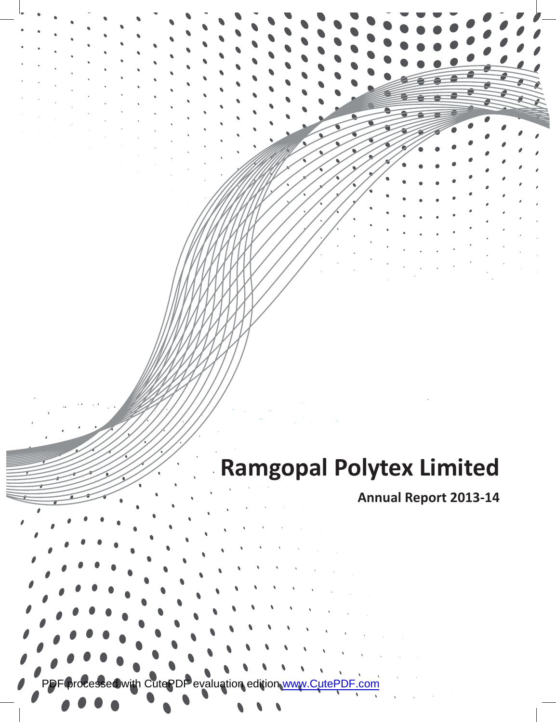# **Ramgopal Polytex Limited**

**Annual Report 2013-14**

PDF processed with CutePDF evaluation edition [www.CutePDF.com](http://www.cutepdf.com)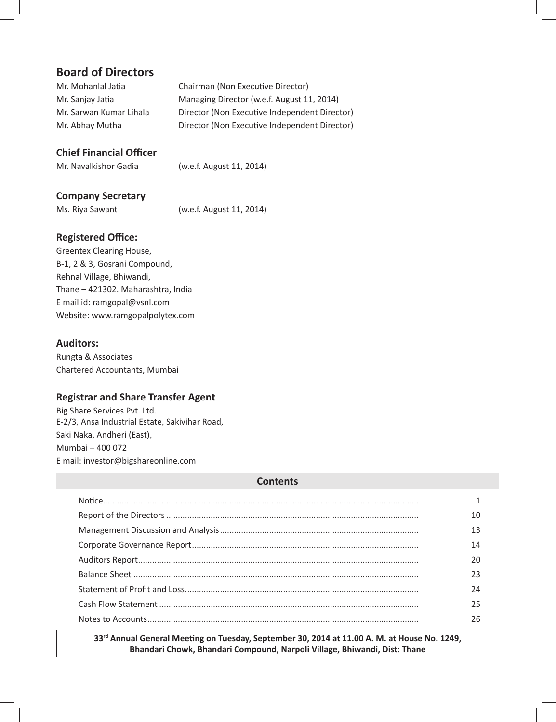# **Board of Directors**

| Mr. Mohanlal Jatia      | Chairman (Non Executive Director)             |
|-------------------------|-----------------------------------------------|
| Mr. Sanjay Jatia        | Managing Director (w.e.f. August 11, 2014)    |
| Mr. Sarwan Kumar Lihala | Director (Non Executive Independent Director) |
| Mr. Abhay Mutha         | Director (Non Executive Independent Director) |

# **Chief Financial Officer**

Mr. Navalkishor Gadia (w.e.f. August 11, 2014)

# **Company Secretary**

Ms. Riya Sawant (w.e.f. August 11, 2014)

# **Registered Office:**

Greentex Clearing House, B-1, 2 & 3, Gosrani Compound, Rehnal Village, Bhiwandi, Thane – 421302. Maharashtra, India E mail id: ramgopal@vsnl.com Website: www.ramgopalpolytex.com

# **Auditors:**

Rungta & Associates Chartered Accountants, Mumbai

# **Registrar and Share Transfer Agent**

Big Share Services Pvt. Ltd. E-2/3, Ansa Industrial Estate, Sakivihar Road, Saki Naka, Andheri (East), Mumbai – 400 072 E mail: investor@bigshareonline.com

## **Contents**

| 14 |
|----|
|    |
| フ3 |
| 24 |
| 25 |
| 26 |

33<sup>rd</sup> Annual General Meeting on Tuesday, September 30, 2014 at 11.00 A. M. at House No. 1249, **Bhandari Chowk, Bhandari Compound, Narpoli Village, Bhiwandi, Dist: Thane**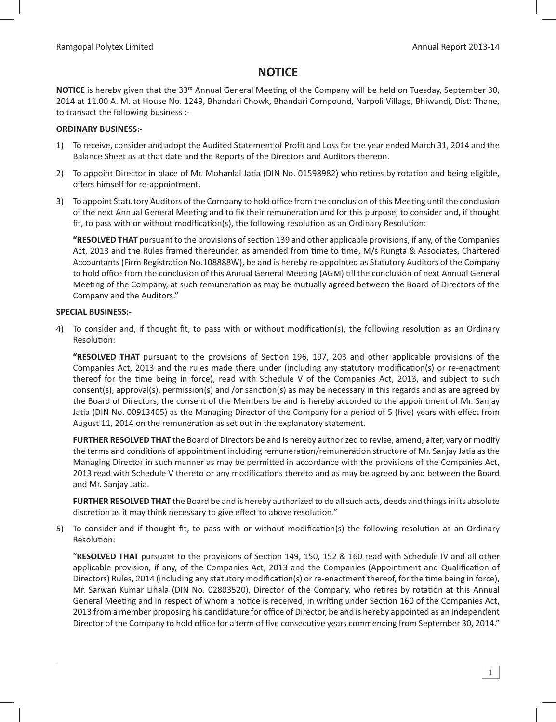# **NOTICE**

NOTICE is hereby given that the 33<sup>rd</sup> Annual General Meeting of the Company will be held on Tuesday, September 30, 2014 at 11.00 A. M. at House No. 1249, Bhandari Chowk, Bhandari Compound, Narpoli Village, Bhiwandi, Dist: Thane, to transact the following business :-

### **ORDINARY BUSINESS:-**

- 1) To receive, consider and adopt the Audited Statement of Profit and Loss for the year ended March 31, 2014 and the Balance Sheet as at that date and the Reports of the Directors and Auditors thereon.
- 2) To appoint Director in place of Mr. Mohanlal Jatia (DIN No. 01598982) who retires by rotation and being eligible, offers himself for re-appointment.
- 3) To appoint Statutory Auditors of the Company to hold office from the conclusion of this Meeting until the conclusion of the next Annual General Meeting and to fix their remuneration and for this purpose, to consider and, if thought fit, to pass with or without modification(s), the following resolution as an Ordinary Resolution:

"RESOLVED THAT pursuant to the provisions of section 139 and other applicable provisions, if any, of the Companies Act, 2013 and the Rules framed thereunder, as amended from time to time, M/s Rungta & Associates, Chartered Accountants (Firm Registration No.108888W), be and is hereby re-appointed as Statutory Auditors of the Company to hold office from the conclusion of this Annual General Meeting (AGM) till the conclusion of next Annual General Meeting of the Company, at such remuneration as may be mutually agreed between the Board of Directors of the Company and the Auditors."

### **SPECIAL BUSINESS:-**

4) To consider and, if thought fit, to pass with or without modification(s), the following resolution as an Ordinary Resolution:

"RESOLVED THAT pursuant to the provisions of Section 196, 197, 203 and other applicable provisions of the Companies Act, 2013 and the rules made there under (including any statutory modification(s) or re-enactment thereof for the time being in force), read with Schedule V of the Companies Act, 2013, and subject to such consent(s), approval(s), permission(s) and /or sanction(s) as may be necessary in this regards and as are agreed by the Board of Directors, the consent of the Members be and is hereby accorded to the appointment of Mr. Sanjay Jatia (DIN No. 00913405) as the Managing Director of the Company for a period of 5 (five) years with effect from August 11, 2014 on the remuneration as set out in the explanatory statement.

 **FURTHER RESOLVED THAT** the Board of Directors be and is hereby authorized to revise, amend, alter, vary or modify the terms and conditions of appointment including remuneration/remuneration structure of Mr. Sanjay Jatia as the Managing Director in such manner as may be permitted in accordance with the provisions of the Companies Act, 2013 read with Schedule V thereto or any modifications thereto and as may be agreed by and between the Board and Mr. Sanjay Jatia.

 **FURTHER RESOLVED THAT** the Board be and is hereby authorized to do all such acts, deeds and things in its absolute discretion as it may think necessary to give effect to above resolution."

5) To consider and if thought fit, to pass with or without modification(s) the following resolution as an Ordinary Resolution:

"RESOLVED THAT pursuant to the provisions of Section 149, 150, 152 & 160 read with Schedule IV and all other applicable provision, if any, of the Companies Act, 2013 and the Companies (Appointment and Qualification of Directors) Rules, 2014 (including any statutory modification(s) or re-enactment thereof, for the time being in force), Mr. Sarwan Kumar Lihala (DIN No. 02803520), Director of the Company, who retires by rotation at this Annual General Meeting and in respect of whom a notice is received, in writing under Section 160 of the Companies Act, 2013 from a member proposing his candidature for office of Director, be and is hereby appointed as an Independent Director of the Company to hold office for a term of five consecutive years commencing from September 30, 2014."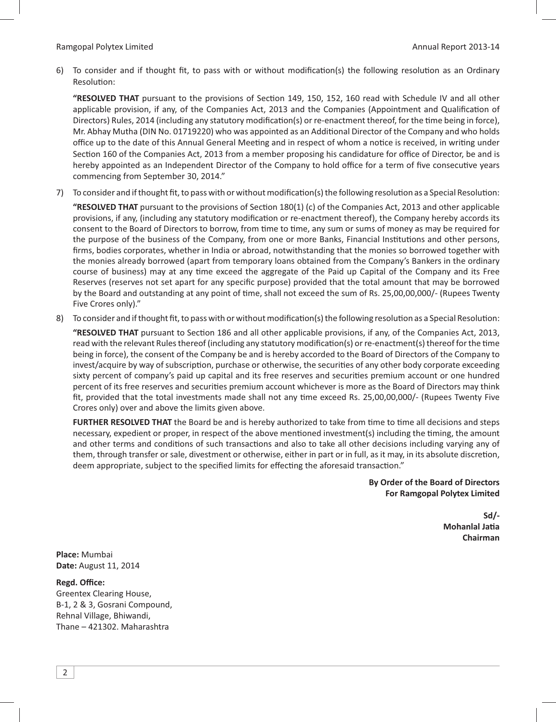6) To consider and if thought fit, to pass with or without modification(s) the following resolution as an Ordinary Resolution:

"RESOLVED THAT pursuant to the provisions of Section 149, 150, 152, 160 read with Schedule IV and all other applicable provision, if any, of the Companies Act, 2013 and the Companies (Appointment and Qualification of Directors) Rules, 2014 (including any statutory modification(s) or re-enactment thereof, for the time being in force), Mr. Abhay Mutha (DIN No. 01719220) who was appointed as an Additional Director of the Company and who holds office up to the date of this Annual General Meeting and in respect of whom a notice is received, in writing under Section 160 of the Companies Act, 2013 from a member proposing his candidature for office of Director, be and is hereby appointed as an Independent Director of the Company to hold office for a term of five consecutive years commencing from September 30, 2014."

7) To consider and if thought fit, to pass with or without modification(s) the following resolution as a Special Resolution:

"RESOLVED THAT pursuant to the provisions of Section 180(1) (c) of the Companies Act, 2013 and other applicable provisions, if any, (including any statutory modification or re-enactment thereof), the Company hereby accords its consent to the Board of Directors to borrow, from time to time, any sum or sums of money as may be required for the purpose of the business of the Company, from one or more Banks, Financial Institutions and other persons, firms, bodies corporates, whether in India or abroad, notwithstanding that the monies so borrowed together with the monies already borrowed (apart from temporary loans obtained from the Company's Bankers in the ordinary course of business) may at any time exceed the aggregate of the Paid up Capital of the Company and its Free Reserves (reserves not set apart for any specific purpose) provided that the total amount that may be borrowed by the Board and outstanding at any point of time, shall not exceed the sum of Rs. 25,00,00,000/- (Rupees Twenty Five Crores only)."

8) To consider and if thought fit, to pass with or without modification(s) the following resolution as a Special Resolution:

"RESOLVED THAT pursuant to Section 186 and all other applicable provisions, if any, of the Companies Act, 2013, read with the relevant Rules thereof (including any statutory modification(s) or re-enactment(s) thereof for the time being in force), the consent of the Company be and is hereby accorded to the Board of Directors of the Company to invest/acquire by way of subscription, purchase or otherwise, the securities of any other body corporate exceeding sixty percent of company's paid up capital and its free reserves and securities premium account or one hundred percent of its free reserves and securities premium account whichever is more as the Board of Directors may think fit, provided that the total investments made shall not any time exceed Rs. 25,00,00,000/- (Rupees Twenty Five Crores only) over and above the limits given above.

**FURTHER RESOLVED THAT** the Board be and is hereby authorized to take from time to time all decisions and steps necessary, expedient or proper, in respect of the above mentioned investment(s) including the timing, the amount and other terms and conditions of such transactions and also to take all other decisions including varying any of them, through transfer or sale, divestment or otherwise, either in part or in full, as it may, in its absolute discretion, deem appropriate, subject to the specified limits for effecting the aforesaid transaction."

> **By Order of the Board of Directors For Ramgopal Polytex Limited**

 **Sd/- Mohanlal Jatia Chairman Chairman Chairman Chairman** 

**Place:** Mumbai **Date:** August 11, 2014

**Regd. Office:** Greentex Clearing House, B-1, 2 & 3, Gosrani Compound, Rehnal Village, Bhiwandi, Thane – 421302. Maharashtra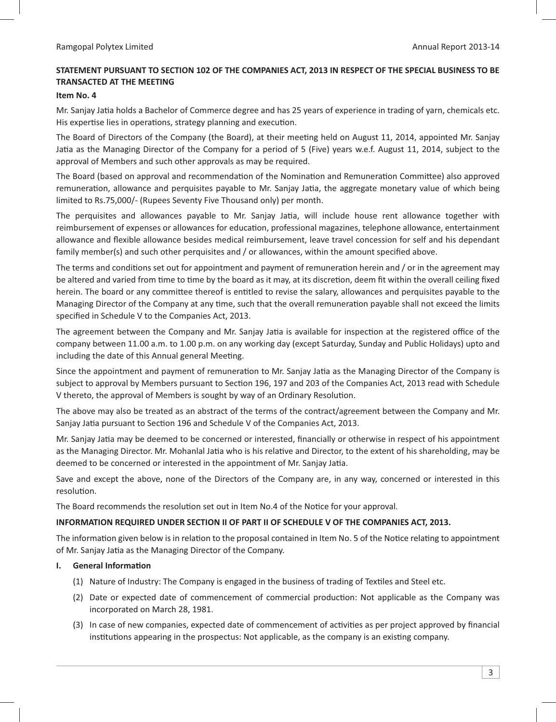# **STATEMENT PURSUANT TO SECTION 102 OF THE COMPANIES ACT, 2013 IN RESPECT OF THE SPECIAL BUSINESS TO BE TRANSACTED AT THE MEETING**

### **Item No. 4**

Mr. Sanjay Jatia holds a Bachelor of Commerce degree and has 25 years of experience in trading of yarn, chemicals etc. His expertise lies in operations, strategy planning and execution.

The Board of Directors of the Company (the Board), at their meeting held on August 11, 2014, appointed Mr. Sanjay Jatia as the Managing Director of the Company for a period of 5 (Five) years w.e.f. August 11, 2014, subject to the approval of Members and such other approvals as may be required.

The Board (based on approval and recommendation of the Nomination and Remuneration Committee) also approved remuneration, allowance and perquisites payable to Mr. Sanjay Jatia, the aggregate monetary value of which being limited to Rs.75,000/- (Rupees Seventy Five Thousand only) per month.

The perquisites and allowances payable to Mr. Sanjay Jatia, will include house rent allowance together with reimbursement of expenses or allowances for education, professional magazines, telephone allowance, entertainment allowance and flexible allowance besides medical reimbursement, leave travel concession for self and his dependant family member(s) and such other perquisites and / or allowances, within the amount specified above.

The terms and conditions set out for appointment and payment of remuneration herein and / or in the agreement may be altered and varied from time to time by the board as it may, at its discretion, deem fit within the overall ceiling fixed herein. The board or any committee thereof is entitled to revise the salary, allowances and perquisites payable to the Managing Director of the Company at any time, such that the overall remuneration payable shall not exceed the limits specified in Schedule V to the Companies Act, 2013.

The agreement between the Company and Mr. Sanjay Jatia is available for inspection at the registered office of the company between 11.00 a.m. to 1.00 p.m. on any working day (except Saturday, Sunday and Public Holidays) upto and including the date of this Annual general Meeting.

Since the appointment and payment of remuneration to Mr. Sanjay Jatia as the Managing Director of the Company is subject to approval by Members pursuant to Section 196, 197 and 203 of the Companies Act, 2013 read with Schedule V thereto, the approval of Members is sought by way of an Ordinary Resolution.

The above may also be treated as an abstract of the terms of the contract/agreement between the Company and Mr. Sanjay Jatia pursuant to Section 196 and Schedule V of the Companies Act, 2013.

Mr. Sanjay Jatia may be deemed to be concerned or interested, financially or otherwise in respect of his appointment as the Managing Director. Mr. Mohanlal Jatia who is his relative and Director, to the extent of his shareholding, may be deemed to be concerned or interested in the appointment of Mr. Sanjay Jatia.

Save and except the above, none of the Directors of the Company are, in any way, concerned or interested in this resolution.

The Board recommends the resolution set out in Item No.4 of the Notice for your approval.

### **INFORMATION REQUIRED UNDER SECTION II OF PART II OF SCHEDULE V OF THE COMPANIES ACT, 2013.**

The information given below is in relation to the proposal contained in Item No. 5 of the Notice relating to appointment of Mr. Sanjay Jatia as the Managing Director of the Company.

### **I.** General Information

- (1) Nature of Industry: The Company is engaged in the business of trading of Textiles and Steel etc.
- (2) Date or expected date of commencement of commercial production: Not applicable as the Company was incorporated on March 28, 1981.
- (3) In case of new companies, expected date of commencement of activities as per project approved by financial institutions appearing in the prospectus: Not applicable, as the company is an existing company.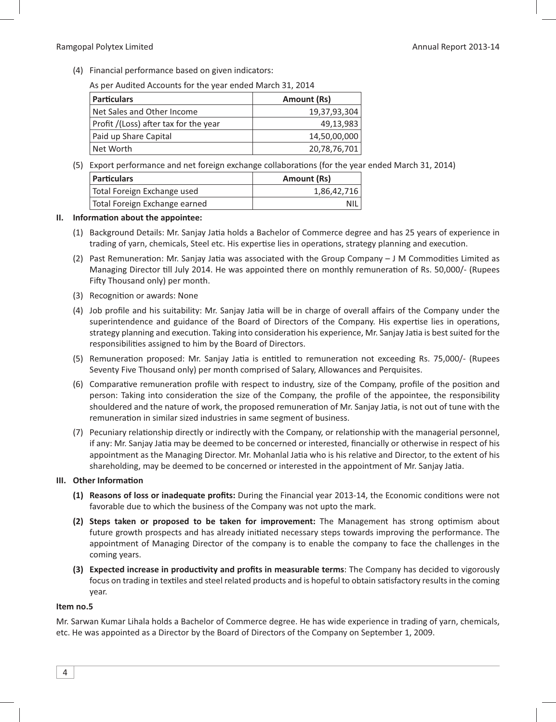#### Ramgopal Polytex Limited **Annual Report 2013-14** Annual Report 2013-14

(4) Financial performance based on given indicators:

As per Audited Accounts for the year ended March 31, 2014

| <b>Particulars</b>                    | Amount (Rs)  |
|---------------------------------------|--------------|
| Net Sales and Other Income            | 19,37,93,304 |
| Profit /(Loss) after tax for the year | 49,13,983    |
| Paid up Share Capital                 | 14,50,00,000 |
| Net Worth                             | 20,78,76,701 |

(5) Export performance and net foreign exchange collaborations (for the year ended March 31, 2014)

| <b>Particulars</b>            | Amount (Rs) |
|-------------------------------|-------------|
| Total Foreign Exchange used   | 1,86,42,716 |
| Total Foreign Exchange earned | NIL.        |

#### **II.** Information about the appointee:

- (1) Background Details: Mr. Sanjay Jatia holds a Bachelor of Commerce degree and has 25 years of experience in trading of yarn, chemicals, Steel etc. His expertise lies in operations, strategy planning and execution.
- (2) Past Remuneration: Mr. Sanjay Jatia was associated with the Group Company J M Commodities Limited as Managing Director till July 2014. He was appointed there on monthly remuneration of Rs. 50,000/- (Rupees Fifty Thousand only) per month.
- (3) Recognition or awards: None
- (4) Job profile and his suitability: Mr. Sanjay Jatia will be in charge of overall affairs of the Company under the superintendence and guidance of the Board of Directors of the Company. His expertise lies in operations, strategy planning and execution. Taking into consideration his experience, Mr. Sanjay Jatia is best suited for the responsibilities assigned to him by the Board of Directors.
- (5) Remuneration proposed: Mr. Sanjay Jatia is entitled to remuneration not exceeding Rs. 75,000/- (Rupees Seventy Five Thousand only) per month comprised of Salary, Allowances and Perquisites.
- (6) Comparative remuneration profile with respect to industry, size of the Company, profile of the position and person: Taking into consideration the size of the Company, the profile of the appointee, the responsibility shouldered and the nature of work, the proposed remuneration of Mr. Sanjay Jatia, is not out of tune with the remuneration in similar sized industries in same segment of business.
- (7) Pecuniary relationship directly or indirectly with the Company, or relationship with the managerial personnel, if any: Mr. Sanjay Jatia may be deemed to be concerned or interested, financially or otherwise in respect of his appointment as the Managing Director. Mr. Mohanlal Jatia who is his relative and Director, to the extent of his shareholding, may be deemed to be concerned or interested in the appointment of Mr. Sanjay Jatia.

### **III.** Other Information

- (1) Reasons of loss or inadequate profits: During the Financial year 2013-14, the Economic conditions were not favorable due to which the business of the Company was not upto the mark.
- (2) Steps taken or proposed to be taken for improvement: The Management has strong optimism about future growth prospects and has already initiated necessary steps towards improving the performance. The appointment of Managing Director of the company is to enable the company to face the challenges in the coming years.
- **(3) Expected increase in productivity and profits in measurable terms:** The Company has decided to vigorously focus on trading in textiles and steel related products and is hopeful to obtain satisfactory results in the coming year.

#### **Item no.5**

Mr. Sarwan Kumar Lihala holds a Bachelor of Commerce degree. He has wide experience in trading of yarn, chemicals, etc. He was appointed as a Director by the Board of Directors of the Company on September 1, 2009.

4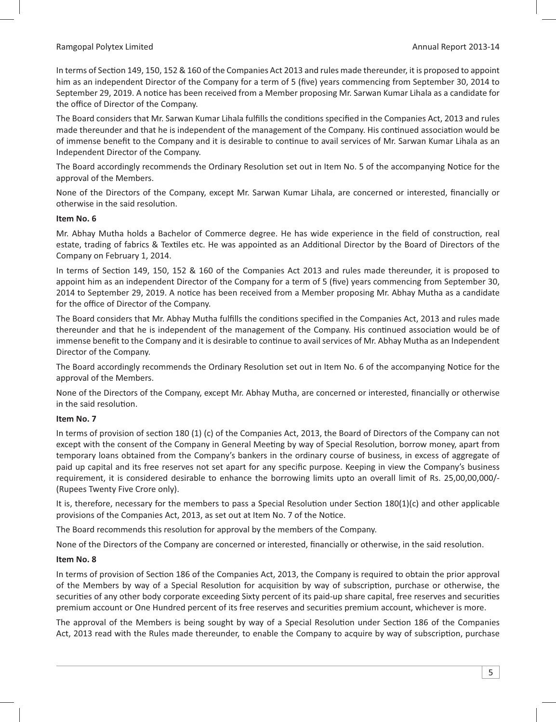In terms of Section 149, 150, 152 & 160 of the Companies Act 2013 and rules made thereunder, it is proposed to appoint him as an independent Director of the Company for a term of 5 (five) years commencing from September 30, 2014 to September 29, 2019. A notice has been received from a Member proposing Mr. Sarwan Kumar Lihala as a candidate for the office of Director of the Company.

The Board considers that Mr. Sarwan Kumar Lihala fulfills the conditions specified in the Companies Act, 2013 and rules made thereunder and that he is independent of the management of the Company. His continued association would be of immense benefit to the Company and it is desirable to continue to avail services of Mr. Sarwan Kumar Lihala as an Independent Director of the Company.

The Board accordingly recommends the Ordinary Resolution set out in Item No. 5 of the accompanying Notice for the approval of the Members.

None of the Directors of the Company, except Mr. Sarwan Kumar Lihala, are concerned or interested, financially or otherwise in the said resolution.

### **Item No. 6**

Mr. Abhay Mutha holds a Bachelor of Commerce degree. He has wide experience in the field of construction, real estate, trading of fabrics & Textiles etc. He was appointed as an Additional Director by the Board of Directors of the Company on February 1, 2014.

In terms of Section 149, 150, 152 & 160 of the Companies Act 2013 and rules made thereunder, it is proposed to appoint him as an independent Director of the Company for a term of 5 (five) years commencing from September 30, 2014 to September 29, 2019. A notice has been received from a Member proposing Mr. Abhay Mutha as a candidate for the office of Director of the Company.

The Board considers that Mr. Abhay Mutha fulfills the conditions specified in the Companies Act, 2013 and rules made thereunder and that he is independent of the management of the Company. His continued association would be of immense benefit to the Company and it is desirable to continue to avail services of Mr. Abhay Mutha as an Independent Director of the Company.

The Board accordingly recommends the Ordinary Resolution set out in Item No. 6 of the accompanying Notice for the approval of the Members.

None of the Directors of the Company, except Mr. Abhay Mutha, are concerned or interested, financially or otherwise in the said resolution.

### **Item No. 7**

In terms of provision of section 180 (1) (c) of the Companies Act, 2013, the Board of Directors of the Company can not except with the consent of the Company in General Meeting by way of Special Resolution, borrow money, apart from temporary loans obtained from the Company's bankers in the ordinary course of business, in excess of aggregate of paid up capital and its free reserves not set apart for any specific purpose. Keeping in view the Company's business requirement, it is considered desirable to enhance the borrowing limits upto an overall limit of Rs. 25,00,00,000/- (Rupees Twenty Five Crore only).

It is, therefore, necessary for the members to pass a Special Resolution under Section 180(1)(c) and other applicable provisions of the Companies Act, 2013, as set out at Item No. 7 of the Notice.

The Board recommends this resolution for approval by the members of the Company.

None of the Directors of the Company are concerned or interested, financially or otherwise, in the said resolution.

### **Item No. 8**

In terms of provision of Section 186 of the Companies Act, 2013, the Company is required to obtain the prior approval of the Members by way of a Special Resolution for acquisition by way of subscription, purchase or otherwise, the securities of any other body corporate exceeding Sixty percent of its paid-up share capital, free reserves and securities premium account or One Hundred percent of its free reserves and securities premium account, whichever is more.

The approval of the Members is being sought by way of a Special Resolution under Section 186 of the Companies Act, 2013 read with the Rules made thereunder, to enable the Company to acquire by way of subscription, purchase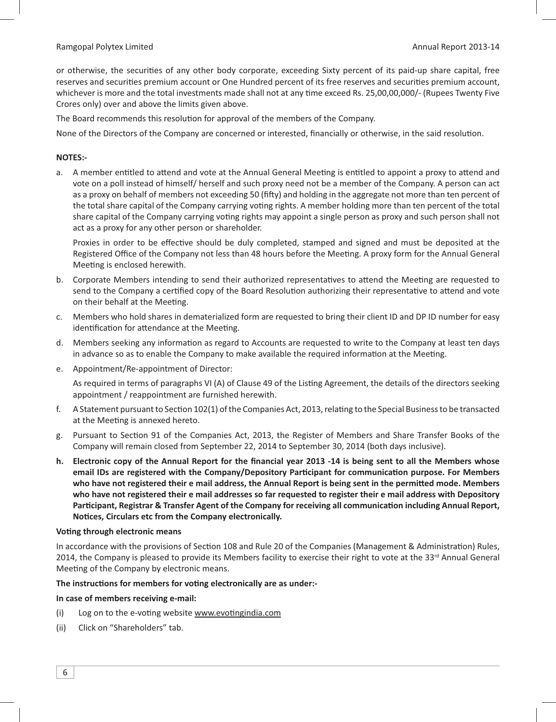or otherwise, the securities of any other body corporate, exceeding Sixty percent of its paid-up share capital, free reserves and securities premium account or One Hundred percent of its free reserves and securities premium account, whichever is more and the total investments made shall not at any time exceed Rs. 25,00,00,000/- (Rupees Twenty Five Crores only) over and above the limits given above.

The Board recommends this resolution for approval of the members of the Company.

None of the Directors of the Company are concerned or interested, financially or otherwise, in the said resolution.

### **NOTES:-**

a. A member entitled to attend and vote at the Annual General Meeting is entitled to appoint a proxy to attend and vote on a poll instead of himself/ herself and such proxy need not be a member of the Company. A person can act as a proxy on behalf of members not exceeding 50 (fifty) and holding in the aggregate not more than ten percent of the total share capital of the Company carrying voting rights. A member holding more than ten percent of the total share capital of the Company carrying voting rights may appoint a single person as proxy and such person shall not act as a proxy for any other person or shareholder.

Proxies in order to be effective should be duly completed, stamped and signed and must be deposited at the Registered Office of the Company not less than 48 hours before the Meeting. A proxy form for the Annual General Meeting is enclosed herewith.

- b. Corporate Members intending to send their authorized representatives to attend the Meeting are requested to send to the Company a certified copy of the Board Resolution authorizing their representative to attend and vote on their behalf at the Meeting.
- c. Members who hold shares in dematerialized form are requested to bring their client ID and DP ID number for easy identification for attendance at the Meeting.
- d. Members seeking any information as regard to Accounts are requested to write to the Company at least ten days in advance so as to enable the Company to make available the required information at the Meeting.
- e. Appointment/Re-appointment of Director:

As required in terms of paragraphs VI (A) of Clause 49 of the Listing Agreement, the details of the directors seeking appointment / reappointment are furnished herewith.

- f. A Statement pursuant to Section 102(1) of the Companies Act, 2013, relating to the Special Business to be transacted at the Meeting is annexed hereto.
- g. Pursuant to Section 91 of the Companies Act, 2013, the Register of Members and Share Transfer Books of the Company will remain closed from September 22, 2014 to September 30, 2014 (both days inclusive).
- **h.** Electronic copy of the Annual Report for the financial year 2013 -14 is being sent to all the Members whose email IDs are registered with the Company/Depository Participant for communication purpose. For Members who have not registered their e mail address, the Annual Report is being sent in the permitted mode. Members **who have not registered their e mail addresses so far requested to register their e mail address with Depository**  Participant, Registrar & Transfer Agent of the Company for receiving all communication including Annual Report, **Notices, Circulars etc from the Company electronically.**

### **Voting through electronic means**

In accordance with the provisions of Section 108 and Rule 20 of the Companies (Management & Administration) Rules, 2014, the Company is pleased to provide its Members facility to exercise their right to vote at the 33<sup>rd</sup> Annual General Meeting of the Company by electronic means.

### The instructions for members for voting electronically are as under:-

### **In case of members receiving e-mail:**

- (i) Log on to the e-voting website www.evotingindia.com
- (ii) Click on "Shareholders" tab.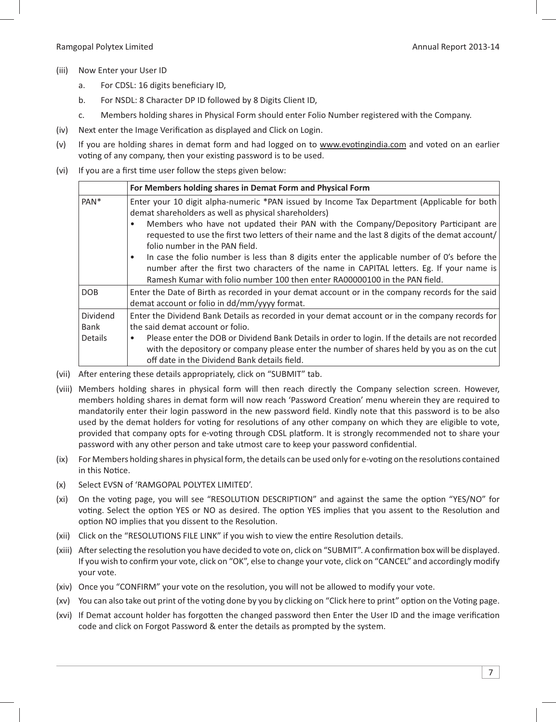- (iii) Now Enter your User ID
	- a. For CDSL: 16 digits beneficiary ID,
	- b. For NSDL: 8 Character DP ID followed by 8 Digits Client ID,
	- c. Members holding shares in Physical Form should enter Folio Number registered with the Company.
- (iv) Next enter the Image Verification as displayed and Click on Login.
- (v) If you are holding shares in demat form and had logged on to www.evotingindia.com and voted on an earlier voting of any company, then your existing password is to be used.
- (vi) If you are a first time user follow the steps given below:

|                             | For Members holding shares in Demat Form and Physical Form                                                                                                                                                                                                                                                                                                                                                                                                                                                                                                                                                                                                      |
|-----------------------------|-----------------------------------------------------------------------------------------------------------------------------------------------------------------------------------------------------------------------------------------------------------------------------------------------------------------------------------------------------------------------------------------------------------------------------------------------------------------------------------------------------------------------------------------------------------------------------------------------------------------------------------------------------------------|
| PAN <sup>*</sup>            | Enter your 10 digit alpha-numeric *PAN issued by Income Tax Department (Applicable for both<br>demat shareholders as well as physical shareholders)<br>Members who have not updated their PAN with the Company/Depository Participant are<br>requested to use the first two letters of their name and the last 8 digits of the demat account/<br>folio number in the PAN field.<br>In case the folio number is less than 8 digits enter the applicable number of 0's before the<br>٠<br>number after the first two characters of the name in CAPITAL letters. Eg. If your name is<br>Ramesh Kumar with folio number 100 then enter RA00000100 in the PAN field. |
| <b>DOB</b>                  | Enter the Date of Birth as recorded in your demat account or in the company records for the said<br>demat account or folio in dd/mm/yyyy format.                                                                                                                                                                                                                                                                                                                                                                                                                                                                                                                |
| Dividend<br>Bank<br>Details | Enter the Dividend Bank Details as recorded in your demat account or in the company records for<br>the said demat account or folio.<br>Please enter the DOB or Dividend Bank Details in order to login. If the details are not recorded<br>with the depository or company please enter the number of shares held by you as on the cut<br>off date in the Dividend Bank details field.                                                                                                                                                                                                                                                                           |

- (vii) After entering these details appropriately, click on "SUBMIT" tab.
- (viii) Members holding shares in physical form will then reach directly the Company selection screen. However, members holding shares in demat form will now reach 'Password Creation' menu wherein they are required to mandatorily enter their login password in the new password field. Kindly note that this password is to be also used by the demat holders for voting for resolutions of any other company on which they are eligible to vote, provided that company opts for e-voting through CDSL platform. It is strongly recommended not to share your password with any other person and take utmost care to keep your password confidential.
- (ix) For Members holding shares in physical form, the details can be used only for e-voting on the resolutions contained in this Notice.
- (x) Select EVSN of 'RAMGOPAL POLYTEX LIMITED'.
- (xi) On the voting page, you will see "RESOLUTION DESCRIPTION" and against the same the option "YES/NO" for voting. Select the option YES or NO as desired. The option YES implies that you assent to the Resolution and option NO implies that you dissent to the Resolution.
- (xii) Click on the "RESOLUTIONS FILE LINK" if you wish to view the entire Resolution details.
- (xiii) After selecting the resolution you have decided to vote on, click on "SUBMIT". A confirmation box will be displayed. If you wish to confirm your vote, click on "OK", else to change your vote, click on "CANCEL" and accordingly modify your vote.
- (xiv) Once you "CONFIRM" your vote on the resolution, you will not be allowed to modify your vote.
- (xv) You can also take out print of the voting done by you by clicking on "Click here to print" option on the Voting page.
- (xvi) If Demat account holder has forgotten the changed password then Enter the User ID and the image verification code and click on Forgot Password & enter the details as prompted by the system.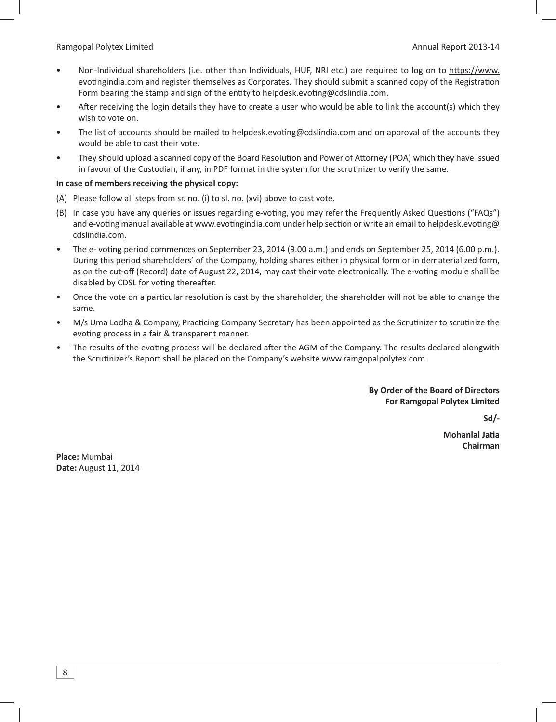- Non-Individual shareholders (i.e. other than Individuals, HUF, NRI etc.) are required to log on to https://www. evotingindia.com and register themselves as Corporates. They should submit a scanned copy of the Registration Form bearing the stamp and sign of the entity to helpdesk.evoting@cdslindia.com.
- After receiving the login details they have to create a user who would be able to link the account(s) which they wish to vote on.
- The list of accounts should be mailed to helpdesk.evoting@cdslindia.com and on approval of the accounts they would be able to cast their vote.
- They should upload a scanned copy of the Board Resolution and Power of Attorney (POA) which they have issued in favour of the Custodian, if any, in PDF format in the system for the scrutinizer to verify the same.

### **In case of members receiving the physical copy:**

- (A) Please follow all steps from sr. no. (i) to sl. no. (xvi) above to cast vote.
- (B) In case you have any queries or issues regarding e-voting, you may refer the Frequently Asked Questions ("FAQs") and e-voting manual available at www.evotingindia.com under help section or write an email to helpdesk.evoting@ cdslindia.com.
- The e- voting period commences on September 23, 2014 (9.00 a.m.) and ends on September 25, 2014 (6.00 p.m.). During this period shareholders' of the Company, holding shares either in physical form or in dematerialized form, as on the cut-off (Record) date of August 22, 2014, may cast their vote electronically. The e-voting module shall be disabled by CDSL for voting thereafter.
- Once the vote on a particular resolution is cast by the shareholder, the shareholder will not be able to change the same.
- M/s Uma Lodha & Company, Practicing Company Secretary has been appointed as the Scrutinizer to scrutinize the evoting process in a fair & transparent manner.
- The results of the evoting process will be declared after the AGM of the Company. The results declared alongwith the Scrutinizer's Report shall be placed on the Company's website www.ramgopalpolytex.com.

### **By Order of the Board of Directors For Ramgopal Polytex Limited**

**Sd/-** 

**Mohanlal Jatia Chairman**

**Place:** Mumbai **Date:** August 11, 2014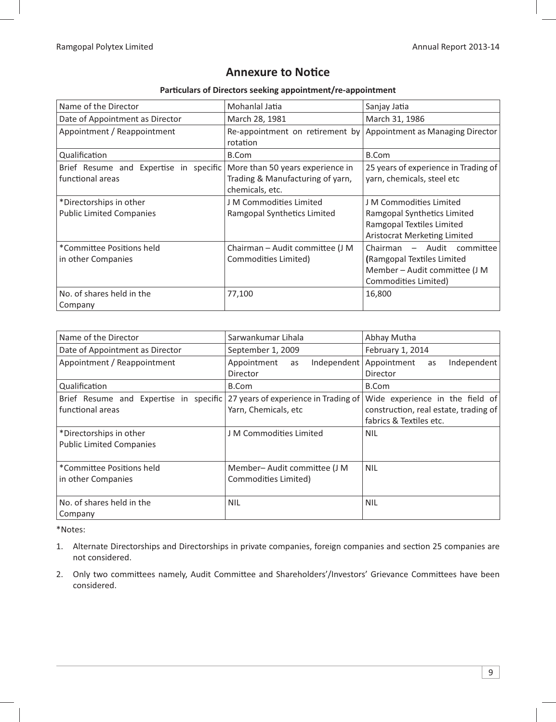# **Annexure to Notice**

### Particulars of Directors seeking appointment/re-appointment

| Name of the Director                                       | Mohanlal Jatia                                                                          | Sanjay Jatia                                                                                                        |
|------------------------------------------------------------|-----------------------------------------------------------------------------------------|---------------------------------------------------------------------------------------------------------------------|
| Date of Appointment as Director                            | March 28, 1981                                                                          | March 31, 1986                                                                                                      |
| Appointment / Reappointment                                | Re-appointment on retirement by<br>rotation                                             | Appointment as Managing Director                                                                                    |
| Qualification                                              | B.Com                                                                                   | <b>B.Com</b>                                                                                                        |
| Brief Resume and Expertise in specific<br>functional areas | More than 50 years experience in<br>Trading & Manufacturing of yarn,<br>chemicals, etc. | 25 years of experience in Trading of<br>yarn, chemicals, steel etc                                                  |
| *Directorships in other<br><b>Public Limited Companies</b> | J M Commodities Limited<br>Ramgopal Synthetics Limited                                  | J M Commodities Limited<br>Ramgopal Synthetics Limited<br>Ramgopal Textiles Limited<br>Aristocrat Merketing Limited |
| *Committee Positions held<br>in other Companies            | Chairman - Audit committee (J M<br>Commodities Limited)                                 | Chairman - Audit committee<br>(Ramgopal Textiles Limited<br>Member – Audit committee (J M<br>Commodities Limited)   |
| No. of shares held in the<br>Company                       | 77,100                                                                                  | 16,800                                                                                                              |

| Name of the Director                                                                            | Sarwankumar Lihala                                  | Abhay Mutha                                                                                         |  |
|-------------------------------------------------------------------------------------------------|-----------------------------------------------------|-----------------------------------------------------------------------------------------------------|--|
| Date of Appointment as Director                                                                 | September 1, 2009                                   | February 1, 2014                                                                                    |  |
| Appointment / Reappointment                                                                     | Appointment<br>Independent<br>as<br>Director        | Appointment<br>Independent<br>as<br>Director                                                        |  |
| Qualification                                                                                   | B.Com                                               | B.Com                                                                                               |  |
| Brief Resume and Expertise in specific 27 years of experience in Trading of<br>functional areas | Yarn, Chemicals, etc                                | Wide experience in the field of<br>construction, real estate, trading of<br>fabrics & Textiles etc. |  |
| *Directorships in other<br><b>Public Limited Companies</b>                                      | J M Commodities Limited                             | <b>NIL</b>                                                                                          |  |
| *Committee Positions held<br>in other Companies                                                 | Member-Audit committee (J M<br>Commodities Limited) | <b>NIL</b>                                                                                          |  |
| No. of shares held in the<br>Company                                                            | <b>NIL</b>                                          | <b>NIL</b>                                                                                          |  |

\*Notes:

- 1. Alternate Directorships and Directorships in private companies, foreign companies and section 25 companies are not considered.
- 2. Only two committees namely, Audit Committee and Shareholders'/Investors' Grievance Committees have been considered.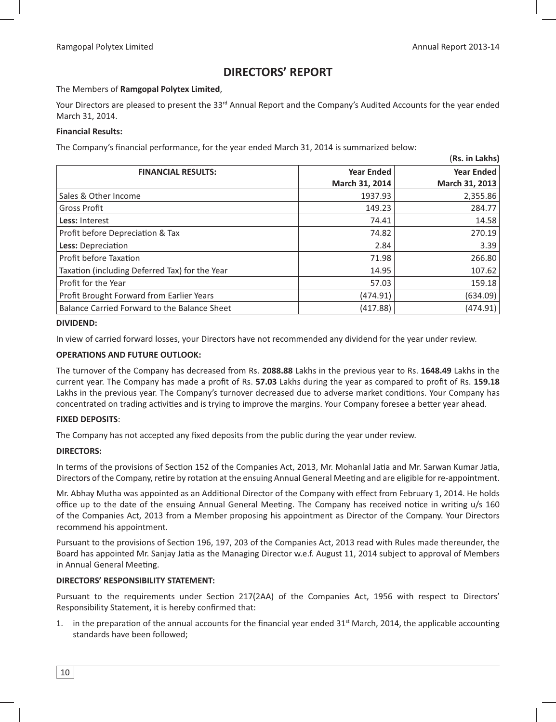(**Rs. in Lakhs)**

# **DIRECTORS' REPORT**

The Members of **Ramgopal Polytex Limited**,

Your Directors are pleased to present the 33<sup>rd</sup> Annual Report and the Company's Audited Accounts for the year ended March 31, 2014.

### **Financial Results:**

The Company's financial performance, for the year ended March 31, 2014 is summarized below:

|                                                |                   | (RS. In Lakns)    |
|------------------------------------------------|-------------------|-------------------|
| <b>FINANCIAL RESULTS:</b>                      | <b>Year Ended</b> | <b>Year Ended</b> |
|                                                | March 31, 2014    | March 31, 2013    |
| Sales & Other Income                           | 1937.93           | 2,355.86          |
| <b>Gross Profit</b>                            | 149.23            | 284.77            |
| Less: Interest                                 | 74.41             | 14.58             |
| Profit before Depreciation & Tax               | 74.82             | 270.19            |
| Less: Depreciation                             | 2.84              | 3.39              |
| Profit before Taxation                         | 71.98             | 266.80            |
| Taxation (including Deferred Tax) for the Year | 14.95             | 107.62            |
| Profit for the Year                            | 57.03             | 159.18            |
| Profit Brought Forward from Earlier Years      | (474.91)          | (634.09)          |
| Balance Carried Forward to the Balance Sheet   | (417.88)          | (474.91)          |

#### **DIVIDEND:**

In view of carried forward losses, your Directors have not recommended any dividend for the year under review.

### **OPERATIONS AND FUTURE OUTLOOK:**

The turnover of the Company has decreased from Rs. **2088.88** Lakhs in the previous year to Rs. **1648.49** Lakhs in the current year. The Company has made a profit of Rs. 57.03 Lakhs during the year as compared to profit of Rs. 159.18 Lakhs in the previous year. The Company's turnover decreased due to adverse market conditions. Your Company has concentrated on trading activities and is trying to improve the margins. Your Company foresee a better year ahead.

### **FIXED DEPOSITS**:

The Company has not accepted any fixed deposits from the public during the year under review.

### **DIRECTORS:**

In terms of the provisions of Section 152 of the Companies Act, 2013, Mr. Mohanlal Jatia and Mr. Sarwan Kumar Jatia, Directors of the Company, retire by rotation at the ensuing Annual General Meeting and are eligible for re-appointment.

Mr. Abhay Mutha was appointed as an Additional Director of the Company with effect from February 1, 2014. He holds office up to the date of the ensuing Annual General Meeting. The Company has received notice in writing u/s 160 of the Companies Act, 2013 from a Member proposing his appointment as Director of the Company. Your Directors recommend his appointment.

Pursuant to the provisions of Section 196, 197, 203 of the Companies Act, 2013 read with Rules made thereunder, the Board has appointed Mr. Sanjay Jatia as the Managing Director w.e.f. August 11, 2014 subject to approval of Members in Annual General Meeting.

### **DIRECTORS' RESPONSIBILITY STATEMENT:**

Pursuant to the requirements under Section 217(2AA) of the Companies Act, 1956 with respect to Directors' Responsibility Statement, it is hereby confirmed that:

1. in the preparation of the annual accounts for the financial year ended  $31<sup>st</sup>$  March, 2014, the applicable accounting standards have been followed;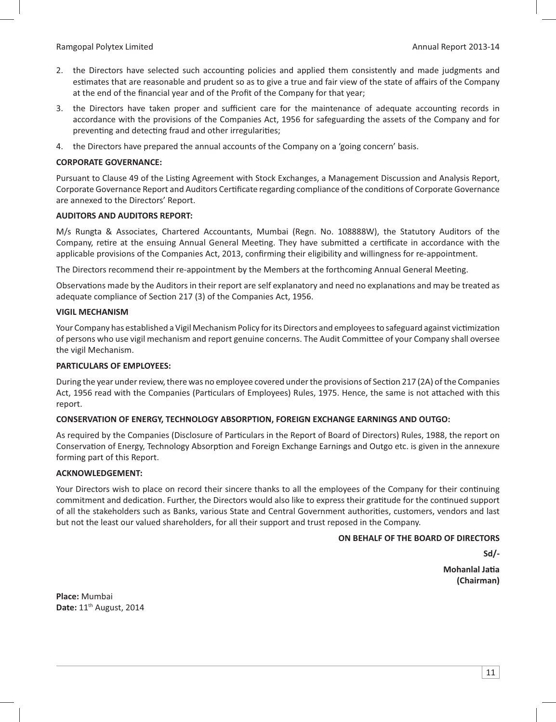- 2. the Directors have selected such accounting policies and applied them consistently and made judgments and estimates that are reasonable and prudent so as to give a true and fair view of the state of affairs of the Company at the end of the financial year and of the Profit of the Company for that year;
- 3. the Directors have taken proper and sufficient care for the maintenance of adequate accounting records in accordance with the provisions of the Companies Act, 1956 for safeguarding the assets of the Company and for preventing and detecting fraud and other irregularities;
- 4. the Directors have prepared the annual accounts of the Company on a 'going concern' basis.

#### **CORPORATE GOVERNANCE:**

Pursuant to Clause 49 of the Listing Agreement with Stock Exchanges, a Management Discussion and Analysis Report, Corporate Governance Report and Auditors Certificate regarding compliance of the conditions of Corporate Governance are annexed to the Directors' Report.

#### **AUDITORS AND AUDITORS REPORT:**

M/s Rungta & Associates, Chartered Accountants, Mumbai (Regn. No. 108888W), the Statutory Auditors of the Company, retire at the ensuing Annual General Meeting. They have submitted a certificate in accordance with the applicable provisions of the Companies Act, 2013, confirming their eligibility and willingness for re-appointment.

The Directors recommend their re-appointment by the Members at the forthcoming Annual General Meeting.

Observations made by the Auditors in their report are self explanatory and need no explanations and may be treated as adequate compliance of Section 217 (3) of the Companies Act, 1956.

#### **VIGIL MECHANISM**

Your Company has established a Vigil Mechanism Policy for its Directors and employees to safeguard against victimization of persons who use vigil mechanism and report genuine concerns. The Audit Committee of your Company shall oversee the vigil Mechanism.

#### **PARTICULARS OF EMPLOYEES:**

During the year under review, there was no employee covered under the provisions of Section 217 (2A) of the Companies Act, 1956 read with the Companies (Particulars of Employees) Rules, 1975. Hence, the same is not attached with this report.

### **CONSERVATION OF ENERGY, TECHNOLOGY ABSORPTION, FOREIGN EXCHANGE EARNINGS AND OUTGO:**

As required by the Companies (Disclosure of Particulars in the Report of Board of Directors) Rules, 1988, the report on Conservation of Energy, Technology Absorption and Foreign Exchange Earnings and Outgo etc. is given in the annexure forming part of this Report.

#### **ACKNOWLEDGEMENT:**

Your Directors wish to place on record their sincere thanks to all the employees of the Company for their continuing commitment and dedication. Further, the Directors would also like to express their gratitude for the continued support of all the stakeholders such as Banks, various State and Central Government authorities, customers, vendors and last but not the least our valued shareholders, for all their support and trust reposed in the Company.

#### **ON BEHALF OF THE BOARD OF DIRECTORS**

**Sd/-**

 **Mohanlal Ja-Mohanlal Jatia (Chairman)**

**Place:** Mumbai **Date:** 11th August, 2014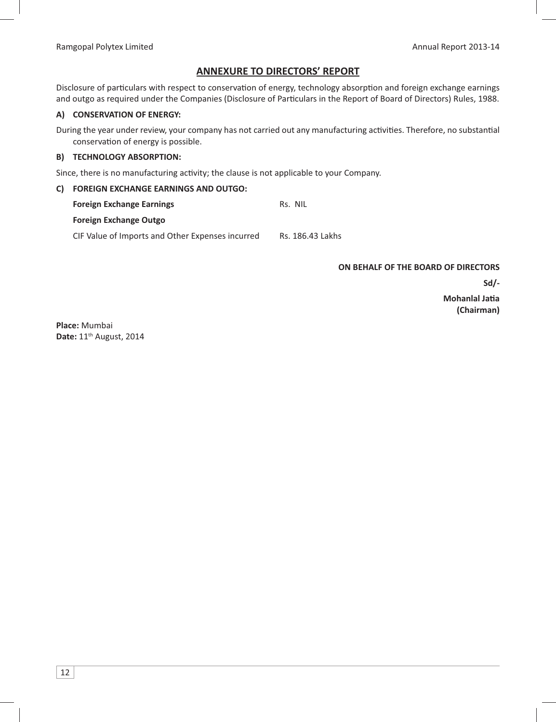# **ANNEXURE TO DIRECTORS' REPORT**

Disclosure of particulars with respect to conservation of energy, technology absorption and foreign exchange earnings and outgo as required under the Companies (Disclosure of Particulars in the Report of Board of Directors) Rules, 1988.

#### **A) CONSERVATION OF ENERGY:**

During the year under review, your company has not carried out any manufacturing activities. Therefore, no substantial conservation of energy is possible.

#### **B) TECHNOLOGY ABSORPTION:**

Since, there is no manufacturing activity; the clause is not applicable to your Company.

### **C) FOREIGN EXCHANGE EARNINGS AND OUTGO:**

| <b>Foreign Exchange Earnings</b>                 | Rs. NII          |
|--------------------------------------------------|------------------|
| <b>Foreign Exchange Outgo</b>                    |                  |
| CIF Value of Imports and Other Expenses incurred | Rs. 186.43 Lakhs |

#### **ON BEHALF OF THE BOARD OF DIRECTORS**

**Sd/-**

 **Mohanlal Ja-Mohanlal Jatia (Chairman)**

**Place:** Mumbai **Date:** 11th August, 2014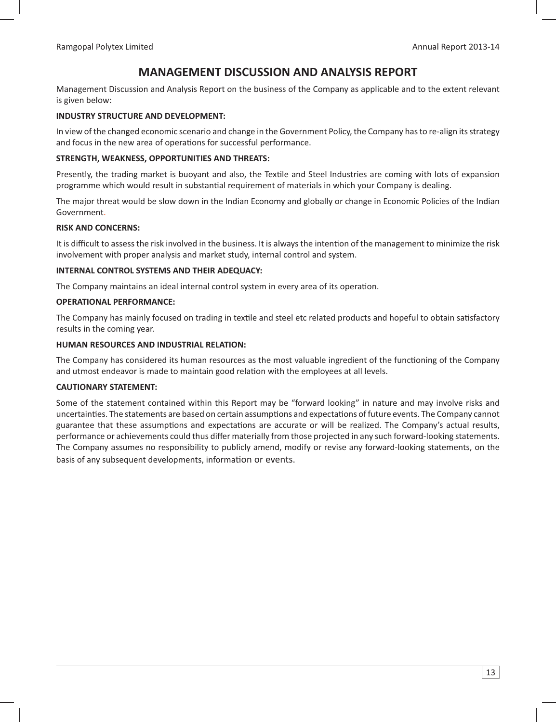# **MANAGEMENT DISCUSSION AND ANALYSIS REPORT**

Management Discussion and Analysis Report on the business of the Company as applicable and to the extent relevant is given below:

### **INDUSTRY STRUCTURE AND DEVELOPMENT:**

In view of the changed economic scenario and change in the Government Policy, the Company has to re-align its strategy and focus in the new area of operations for successful performance.

#### **STRENGTH, WEAKNESS, OPPORTUNITIES AND THREATS:**

Presently, the trading market is buoyant and also, the Textile and Steel Industries are coming with lots of expansion programme which would result in substantial requirement of materials in which your Company is dealing.

The major threat would be slow down in the Indian Economy and globally or change in Economic Policies of the Indian Government.

#### **RISK AND CONCERNS:**

It is difficult to assess the risk involved in the business. It is always the intention of the management to minimize the risk involvement with proper analysis and market study, internal control and system.

#### **INTERNAL CONTROL SYSTEMS AND THEIR ADEQUACY:**

The Company maintains an ideal internal control system in every area of its operation.

#### **OPERATIONAL PERFORMANCE:**

The Company has mainly focused on trading in textile and steel etc related products and hopeful to obtain satisfactory results in the coming year.

#### **HUMAN RESOURCES AND INDUSTRIAL RELATION:**

The Company has considered its human resources as the most valuable ingredient of the functioning of the Company and utmost endeavor is made to maintain good relation with the employees at all levels.

#### **CAUTIONARY STATEMENT:**

Some of the statement contained within this Report may be "forward looking" in nature and may involve risks and uncertainties. The statements are based on certain assumptions and expectations of future events. The Company cannot guarantee that these assumptions and expectations are accurate or will be realized. The Company's actual results, performance or achievements could thus differ materially from those projected in any such forward-looking statements. The Company assumes no responsibility to publicly amend, modify or revise any forward-looking statements, on the basis of any subsequent developments, information or events.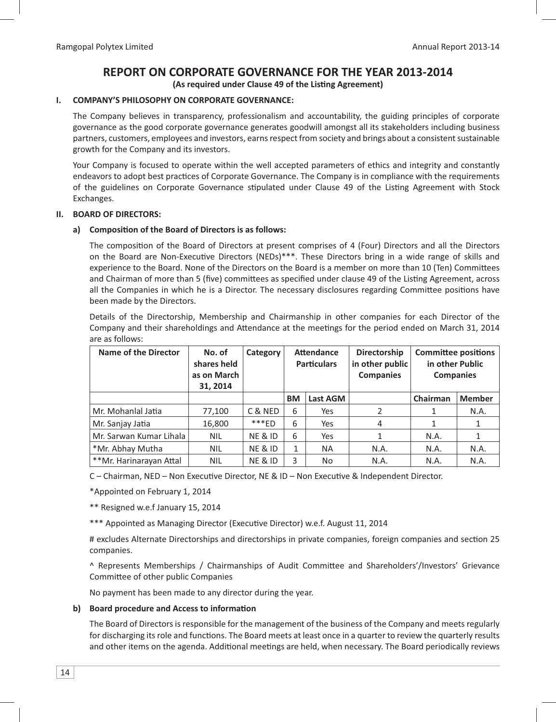# **REPORT ON CORPORATE GOVERNANCE FOR THE YEAR 2013-2014**

(As required under Clause 49 of the Listing Agreement)

### **I. COMPANY'S PHILOSOPHY ON CORPORATE GOVERNANCE:**

 The Company believes in transparency, professionalism and accountability, the guiding principles of corporate governance as the good corporate governance generates goodwill amongst all its stakeholders including business partners, customers, employees and investors, earns respect from society and brings about a consistent sustainable growth for the Company and its investors.

 Your Company is focused to operate within the well accepted parameters of ethics and integrity and constantly endeavors to adopt best practices of Corporate Governance. The Company is in compliance with the requirements of the guidelines on Corporate Governance stipulated under Clause 49 of the Listing Agreement with Stock Exchanges.

### **II. BOARD OF DIRECTORS:**

### a) Composition of the Board of Directors is as follows:

The composition of the Board of Directors at present comprises of 4 (Four) Directors and all the Directors on the Board are Non-Executive Directors (NEDs)\*\*\*. These Directors bring in a wide range of skills and experience to the Board. None of the Directors on the Board is a member on more than 10 (Ten) Committees and Chairman of more than 5 (five) committees as specified under clause 49 of the Listing Agreement, across all the Companies in which he is a Director. The necessary disclosures regarding Committee positions have been made by the Directors.

 Details of the Directorship, Membership and Chairmanship in other companies for each Director of the Company and their shareholdings and Attendance at the meetings for the period ended on March 31, 2014 are as follows:

| Name of the Director    | No. of<br>shares held<br>as on March<br>31, 2014 | Category           |           | <b>Attendance</b><br><b>Particulars</b> | <b>Directorship</b><br>in other public<br><b>Companies</b> | <b>Committee positions</b><br>in other Public<br><b>Companies</b> |               |
|-------------------------|--------------------------------------------------|--------------------|-----------|-----------------------------------------|------------------------------------------------------------|-------------------------------------------------------------------|---------------|
|                         |                                                  |                    | <b>BM</b> | Last AGM                                |                                                            | Chairman                                                          | <b>Member</b> |
| Mr. Mohanlal Jatia      | 77,100                                           | C & NED            | 6         | Yes                                     | 2                                                          |                                                                   | N.A.          |
| Mr. Sanjay Jatia        | 16,800                                           | $***FD$            | 6         | Yes                                     | 4                                                          |                                                                   |               |
| Mr. Sarwan Kumar Lihala | <b>NIL</b>                                       | <b>NE &amp; ID</b> | 6         | Yes                                     |                                                            | N.A.                                                              |               |
| *Mr. Abhay Mutha        | <b>NIL</b>                                       | <b>NE &amp; ID</b> | 1         | <b>NA</b>                               | N.A.                                                       | N.A.                                                              | N.A.          |
| **Mr. Harinarayan Attal | <b>NIL</b>                                       | <b>NE &amp; ID</b> | 3         | No                                      | N.A.                                                       | N.A.                                                              | N.A.          |

C - Chairman, NED - Non Executive Director, NE & ID - Non Executive & Independent Director.

\*Appointed on February 1, 2014

\*\* Resigned w.e.f January 15, 2014

\*\*\* Appointed as Managing Director (Executive Director) w.e.f. August 11, 2014

# excludes Alternate Directorships and directorships in private companies, foreign companies and section 25 companies.

^ Represents Memberships / Chairmanships of Audit Committee and Shareholders'/Investors' Grievance Committee of other public Companies

No payment has been made to any director during the year.

### **b)** Board procedure and Access to information

 The Board of Directors is responsible for the management of the business of the Company and meets regularly for discharging its role and functions. The Board meets at least once in a quarter to review the quarterly results and other items on the agenda. Additional meetings are held, when necessary. The Board periodically reviews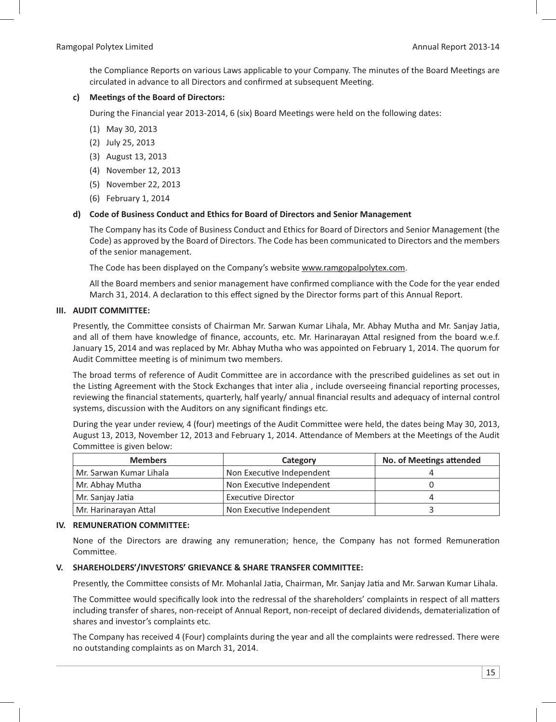the Compliance Reports on various Laws applicable to your Company. The minutes of the Board Meetings are circulated in advance to all Directors and confirmed at subsequent Meeting.

### c) Meetings of the Board of Directors:

During the Financial year 2013-2014, 6 (six) Board Meetings were held on the following dates:

- (1) May 30, 2013
- (2) July 25, 2013
- (3) August 13, 2013
- (4) November 12, 2013
- (5) November 22, 2013
- (6) February 1, 2014

#### **d) Code of Business Conduct and Ethics for Board of Directors and Senior Management**

 The Company has its Code of Business Conduct and Ethics for Board of Directors and Senior Management (the Code) as approved by the Board of Directors. The Code has been communicated to Directors and the members of the senior management.

The Code has been displayed on the Company's website www.ramgopalpolytex.com.

All the Board members and senior management have confirmed compliance with the Code for the year ended March 31, 2014. A declaration to this effect signed by the Director forms part of this Annual Report.

#### **III. AUDIT COMMITTEE:**

Presently, the Committee consists of Chairman Mr. Sarwan Kumar Lihala, Mr. Abhay Mutha and Mr. Sanjay Jatia, and all of them have knowledge of finance, accounts, etc. Mr. Harinarayan Attal resigned from the board w.e.f. January 15, 2014 and was replaced by Mr. Abhay Mutha who was appointed on February 1, 2014. The quorum for Audit Committee meeting is of minimum two members.

The broad terms of reference of Audit Committee are in accordance with the prescribed guidelines as set out in the Listing Agreement with the Stock Exchanges that inter alia, include overseeing financial reporting processes, reviewing the financial statements, quarterly, half yearly/ annual financial results and adequacy of internal control systems, discussion with the Auditors on any significant findings etc.

During the year under review, 4 (four) meetings of the Audit Committee were held, the dates being May 30, 2013, August 13, 2013, November 12, 2013 and February 1, 2014. Attendance of Members at the Meetings of the Audit Committee is given below:

| <b>Members</b>          | Category                  | <b>No. of Meetings attended</b> |
|-------------------------|---------------------------|---------------------------------|
| Mr. Sarwan Kumar Lihala | Non Executive Independent |                                 |
| Mr. Abhay Mutha         | Non Executive Independent |                                 |
| Mr. Sanjay Jatia        | <b>Executive Director</b> |                                 |
| Mr. Harinarayan Attal   | Non Executive Independent |                                 |

#### **IV. REMUNERATION COMMITTEE:**

None of the Directors are drawing any remuneration; hence, the Company has not formed Remuneration Committee.

#### **V. SHAREHOLDERS'/INVESTORS' GRIEVANCE & SHARE TRANSFER COMMITTEE:**

Presently, the Committee consists of Mr. Mohanlal Jatia, Chairman, Mr. Sanjay Jatia and Mr. Sarwan Kumar Lihala.

The Committee would specifically look into the redressal of the shareholders' complaints in respect of all matters including transfer of shares, non-receipt of Annual Report, non-receipt of declared dividends, dematerialization of shares and investor's complaints etc.

 The Company has received 4 (Four) complaints during the year and all the complaints were redressed. There were no outstanding complaints as on March 31, 2014.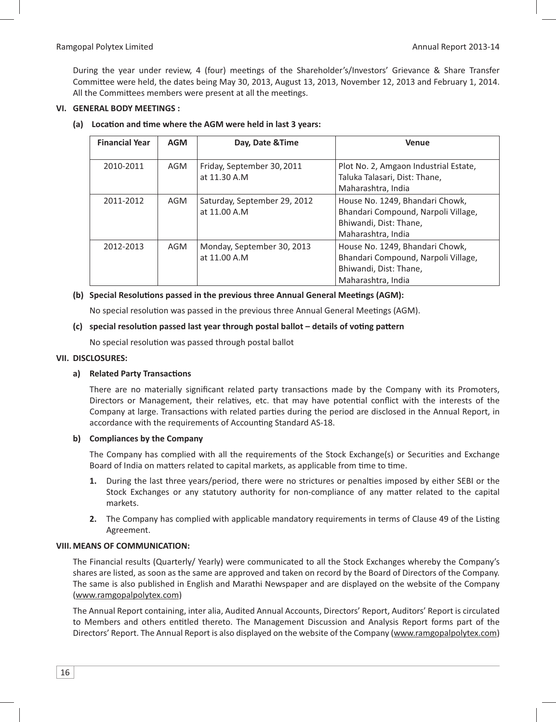During the year under review, 4 (four) meetings of the Shareholder's/Investors' Grievance & Share Transfer Committee were held, the dates being May 30, 2013, August 13, 2013, November 12, 2013 and February 1, 2014. All the Committees members were present at all the meetings.

### **VI. GENERAL BODY MEETINGS :**

#### (a) Location and time where the AGM were held in last 3 years:

| <b>Financial Year</b> | <b>AGM</b> | Day, Date & Time                             | <b>Venue</b>                                                                                                           |
|-----------------------|------------|----------------------------------------------|------------------------------------------------------------------------------------------------------------------------|
| 2010-2011             | AGM        | Friday, September 30, 2011<br>at 11.30 A.M   | Plot No. 2, Amgaon Industrial Estate,<br>Taluka Talasari, Dist: Thane,<br>Maharashtra, India                           |
| 2011-2012             | AGM        | Saturday, September 29, 2012<br>at 11.00 A.M | House No. 1249, Bhandari Chowk,<br>Bhandari Compound, Narpoli Village,<br>Bhiwandi, Dist: Thane,<br>Maharashtra, India |
| 2012-2013             | AGM        | Monday, September 30, 2013<br>at 11.00 A.M   | House No. 1249, Bhandari Chowk,<br>Bhandari Compound, Narpoli Village,<br>Bhiwandi, Dist: Thane,<br>Maharashtra, India |

### (b) Special Resolutions passed in the previous three Annual General Meetings (AGM):

No special resolution was passed in the previous three Annual General Meetings (AGM).

#### (c) special resolution passed last year through postal ballot - details of voting pattern

No special resolution was passed through postal ballot

#### **VII. DISCLOSURES:**

### a) Related Party Transactions

There are no materially significant related party transactions made by the Company with its Promoters, Directors or Management, their relatives, etc. that may have potential conflict with the interests of the Company at large. Transactions with related parties during the period are disclosed in the Annual Report, in accordance with the requirements of Accounting Standard AS-18.

### **b) Compliances by the Company**

The Company has complied with all the requirements of the Stock Exchange(s) or Securities and Exchange Board of India on matters related to capital markets, as applicable from time to time.

- 1. During the last three years/period, there were no strictures or penalties imposed by either SEBI or the Stock Exchanges or any statutory authority for non-compliance of any matter related to the capital markets.
- 2. The Company has complied with applicable mandatory requirements in terms of Clause 49 of the Listing Agreement.

### **VIII. MEANS OF COMMUNICATION:**

 The Financial results (Quarterly/ Yearly) were communicated to all the Stock Exchanges whereby the Company's shares are listed, as soon as the same are approved and taken on record by the Board of Directors of the Company. The same is also published in English and Marathi Newspaper and are displayed on the website of the Company (www.ramgopalpolytex.com)

 The Annual Report containing, inter alia, Audited Annual Accounts, Directors' Report, Auditors' Report is circulated to Members and others entitled thereto. The Management Discussion and Analysis Report forms part of the Directors' Report. The Annual Report is also displayed on the website of the Company (www.ramgopalpolytex.com)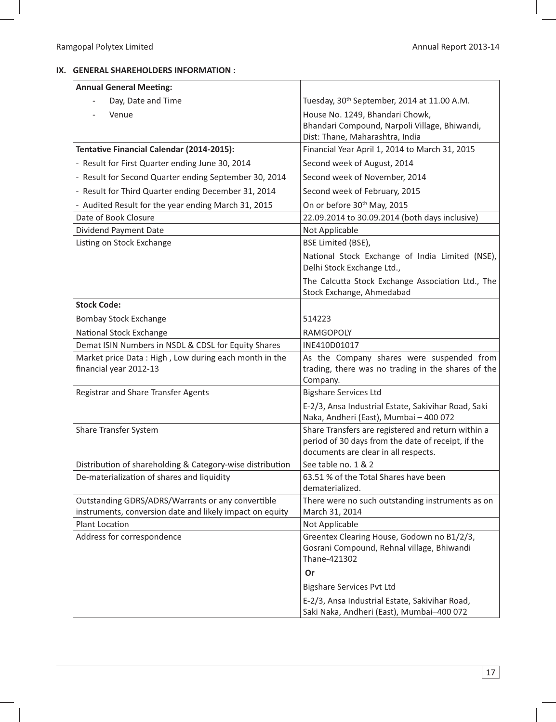## **IX. GENERAL SHAREHOLDERS INFORMATION :**

| <b>Annual General Meeting:</b>                            |                                                                                               |
|-----------------------------------------------------------|-----------------------------------------------------------------------------------------------|
| Day, Date and Time                                        | Tuesday, 30 <sup>th</sup> September, 2014 at 11.00 A.M.                                       |
| Venue                                                     | House No. 1249, Bhandari Chowk,                                                               |
|                                                           | Bhandari Compound, Narpoli Village, Bhiwandi,                                                 |
|                                                           | Dist: Thane, Maharashtra, India                                                               |
| Tentative Financial Calendar (2014-2015):                 | Financial Year April 1, 2014 to March 31, 2015                                                |
| - Result for First Quarter ending June 30, 2014           | Second week of August, 2014                                                                   |
| - Result for Second Quarter ending September 30, 2014     | Second week of November, 2014                                                                 |
| - Result for Third Quarter ending December 31, 2014       | Second week of February, 2015                                                                 |
| - Audited Result for the year ending March 31, 2015       | On or before 30th May, 2015                                                                   |
| Date of Book Closure                                      | 22.09.2014 to 30.09.2014 (both days inclusive)                                                |
| Dividend Payment Date                                     | Not Applicable                                                                                |
| Listing on Stock Exchange                                 | BSE Limited (BSE),                                                                            |
|                                                           | National Stock Exchange of India Limited (NSE),<br>Delhi Stock Exchange Ltd.,                 |
|                                                           | The Calcutta Stock Exchange Association Ltd., The<br>Stock Exchange, Ahmedabad                |
| <b>Stock Code:</b>                                        |                                                                                               |
| <b>Bombay Stock Exchange</b>                              | 514223                                                                                        |
| National Stock Exchange                                   | RAMGOPOLY                                                                                     |
| Demat ISIN Numbers in NSDL & CDSL for Equity Shares       | INE410D01017                                                                                  |
| Market price Data: High, Low during each month in the     | As the Company shares were suspended from                                                     |
| financial year 2012-13                                    | trading, there was no trading in the shares of the                                            |
|                                                           | Company.                                                                                      |
| Registrar and Share Transfer Agents                       | <b>Bigshare Services Ltd</b>                                                                  |
|                                                           | E-2/3, Ansa Industrial Estate, Sakivihar Road, Saki<br>Naka, Andheri (East), Mumbai - 400 072 |
| Share Transfer System                                     | Share Transfers are registered and return within a                                            |
|                                                           | period of 30 days from the date of receipt, if the                                            |
|                                                           | documents are clear in all respects.                                                          |
| Distribution of shareholding & Category-wise distribution | See table no. 1 & 2                                                                           |
| De-materialization of shares and liquidity                | 63.51 % of the Total Shares have been<br>dematerialized.                                      |
| Outstanding GDRS/ADRS/Warrants or any convertible         | There were no such outstanding instruments as on                                              |
| instruments, conversion date and likely impact on equity  | March 31, 2014                                                                                |
| Plant Location                                            | Not Applicable                                                                                |
| Address for correspondence                                | Greentex Clearing House, Godown no B1/2/3,                                                    |
|                                                           | Gosrani Compound, Rehnal village, Bhiwandi<br>Thane-421302                                    |
|                                                           | Or                                                                                            |
|                                                           |                                                                                               |
|                                                           | <b>Bigshare Services Pvt Ltd</b>                                                              |
|                                                           | E-2/3, Ansa Industrial Estate, Sakivihar Road,<br>Saki Naka, Andheri (East), Mumbai-400 072   |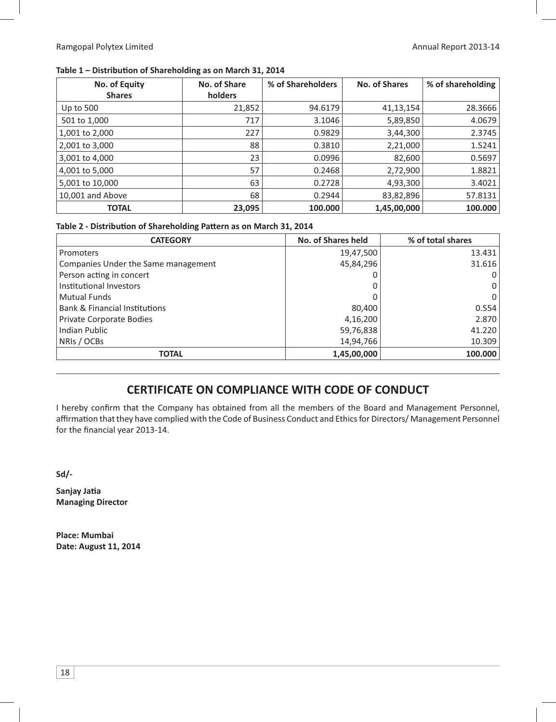### Table 1 - Distribution of Shareholding as on March 31, 2014

| No. of Equity    | No. of Share | % of Shareholders | <b>No. of Shares</b> | % of shareholding |
|------------------|--------------|-------------------|----------------------|-------------------|
| <b>Shares</b>    | holders      |                   |                      |                   |
| Up to $500$      | 21,852       | 94.6179           | 41,13,154            | 28.3666           |
| 501 to 1,000     | 717          | 3.1046            | 5,89,850             | 4.0679            |
| 1,001 to 2,000   | 227          | 0.9829            | 3,44,300             | 2.3745            |
| 2,001 to 3,000   | 88           | 0.3810            | 2,21,000             | 1.5241            |
| 3,001 to 4,000   | 23           | 0.0996            | 82,600               | 0.5697            |
| 4,001 to 5,000   | 57           | 0.2468            | 2,72,900             | 1.8821            |
| 5,001 to 10,000  | 63           | 0.2728            | 4,93,300             | 3.4021            |
| 10,001 and Above | 68           | 0.2944            | 83,82,896            | 57.8131           |
| <b>TOTAL</b>     | 23,095       | 100.000           | 1,45,00,000          | 100.000           |

### Table 2 - Distribution of Shareholding Pattern as on March 31, 2014

| <b>CATEGORY</b>                          | <b>No. of Shares held</b> | % of total shares |
|------------------------------------------|---------------------------|-------------------|
| Promoters                                | 19,47,500                 | 13.431            |
| Companies Under the Same management      | 45,84,296                 | 31.616            |
| Person acting in concert                 |                           | 0                 |
| Institutional Investors                  |                           | 0                 |
| <b>Mutual Funds</b>                      |                           | 0                 |
| <b>Bank &amp; Financial Institutions</b> | 80,400                    | 0.554             |
| Private Corporate Bodies                 | 4,16,200                  | 2.870             |
| <b>Indian Public</b>                     | 59,76,838                 | 41.220            |
| NRIs / OCBs                              | 14,94,766                 | 10.309            |
| <b>TOTAL</b>                             | 1,45,00,000               | 100.000           |

# **CERTIFICATE ON COMPLIANCE WITH CODE OF CONDUCT**

I hereby confirm that the Company has obtained from all the members of the Board and Management Personnel, affirmation that they have complied with the Code of Business Conduct and Ethics for Directors/ Management Personnel for the financial year 2013-14.

**Sd/-**

Sanjay Jatia **Managing Director** 

**Place: Mumbai Date: August 11, 2014**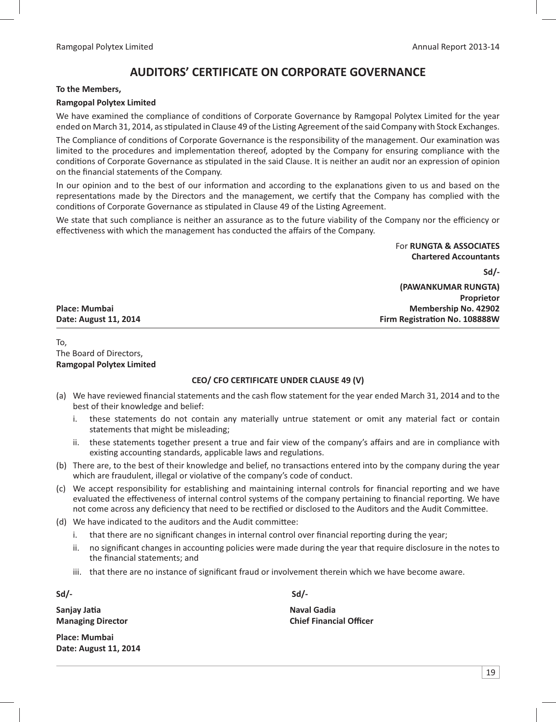# **AUDITORS' CERTIFICATE ON CORPORATE GOVERNANCE**

#### **To the Members,**

### **Ramgopal Polytex Limited**

We have examined the compliance of conditions of Corporate Governance by Ramgopal Polytex Limited for the year ended on March 31, 2014, as stipulated in Clause 49 of the Listing Agreement of the said Company with Stock Exchanges.

The Compliance of conditions of Corporate Governance is the responsibility of the management. Our examination was limited to the procedures and implementation thereof, adopted by the Company for ensuring compliance with the conditions of Corporate Governance as stipulated in the said Clause. It is neither an audit nor an expression of opinion on the financial statements of the Company.

In our opinion and to the best of our information and according to the explanations given to us and based on the representations made by the Directors and the management, we certify that the Company has complied with the conditions of Corporate Governance as stipulated in Clause 49 of the Listing Agreement.

We state that such compliance is neither an assurance as to the future viability of the Company nor the efficiency or effectiveness with which the management has conducted the affairs of the Company.

> For **RUNGTA & ASSOCIATES Chartered Accountants**

**(PAWANKUMAR RUNGTA)**

**Firm Registration No. 108888W** 

**Sd/-**

**Proprietor**

Place: Mumbai **Membership No. 42902 Date: August 11, 2014** 

To, The Board of Directors, **Ramgopal Polytex Limited**

## **CEO/ CFO CERTIFICATE UNDER CLAUSE 49 (V)**

- (a) We have reviewed financial statements and the cash flow statement for the year ended March 31, 2014 and to the best of their knowledge and belief:
	- i. these statements do not contain any materially untrue statement or omit any material fact or contain statements that might be misleading;
	- ii. these statements together present a true and fair view of the company's affairs and are in compliance with existing accounting standards, applicable laws and regulations.
- (b) There are, to the best of their knowledge and belief, no transactions entered into by the company during the year which are fraudulent, illegal or violative of the company's code of conduct.
- (c) We accept responsibility for establishing and maintaining internal controls for financial reporting and we have evaluated the effectiveness of internal control systems of the company pertaining to financial reporting. We have not come across any deficiency that need to be rectified or disclosed to the Auditors and the Audit Committee.
- (d) We have indicated to the auditors and the Audit committee:
	- i. that there are no significant changes in internal control over financial reporting during the year;
	- ii. no significant changes in accounting policies were made during the year that require disclosure in the notes to the financial statements; and
	- iii. that there are no instance of significant fraud or involvement therein which we have become aware.

**Sanjay Jatia Managing Director Chief Financial Officer** Chief Financial Officer

**Place: Mumbai Date: August 11, 2014**

**Sd/- Sd/-**

**Naval Gadia**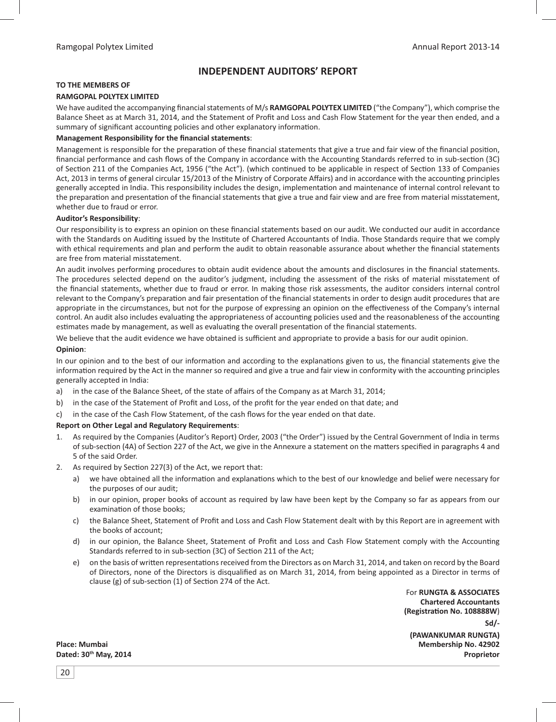# **INDEPENDENT AUDITORS' REPORT**

#### **TO THE MEMBERS OF**

#### **RAMGOPAL POLYTEX LIMITED**

We have audited the accompanying financial statements of M/s **RAMGOPAL POLYTEX LIMITED** ("the Company"), which comprise the Balance Sheet as at March 31, 2014, and the Statement of Profit and Loss and Cash Flow Statement for the year then ended, and a summary of significant accounting policies and other explanatory information.

#### **Management Responsibility for the financial statements:**

Management is responsible for the preparation of these financial statements that give a true and fair view of the financial position, financial performance and cash flows of the Company in accordance with the Accounting Standards referred to in sub-section (3C) of Section 211 of the Companies Act, 1956 ("the Act"). (which continued to be applicable in respect of Section 133 of Companies Act, 2013 in terms of general circular 15/2013 of the Ministry of Corporate Affairs) and in accordance with the accounting principles generally accepted in India. This responsibility includes the design, implementation and maintenance of internal control relevant to the preparation and presentation of the financial statements that give a true and fair view and are free from material misstatement, whether due to fraud or error.

#### **Auditor's Responsibility**:

Our responsibility is to express an opinion on these financial statements based on our audit. We conducted our audit in accordance with the Standards on Auditing issued by the Institute of Chartered Accountants of India. Those Standards require that we comply with ethical requirements and plan and perform the audit to obtain reasonable assurance about whether the financial statements are free from material misstatement.

An audit involves performing procedures to obtain audit evidence about the amounts and disclosures in the financial statements. The procedures selected depend on the auditor's judgment, including the assessment of the risks of material misstatement of the financial statements, whether due to fraud or error. In making those risk assessments, the auditor considers internal control relevant to the Company's preparation and fair presentation of the financial statements in order to design audit procedures that are appropriate in the circumstances, but not for the purpose of expressing an opinion on the effectiveness of the Company's internal control. An audit also includes evaluating the appropriateness of accounting policies used and the reasonableness of the accounting estimates made by management, as well as evaluating the overall presentation of the financial statements.

We believe that the audit evidence we have obtained is sufficient and appropriate to provide a basis for our audit opinion.

#### **Opinion**:

In our opinion and to the best of our information and according to the explanations given to us, the financial statements give the information required by the Act in the manner so required and give a true and fair view in conformity with the accounting principles generally accepted in India:

- a) in the case of the Balance Sheet, of the state of affairs of the Company as at March 31, 2014;
- b) in the case of the Statement of Profit and Loss, of the profit for the year ended on that date; and
- c) in the case of the Cash Flow Statement, of the cash flows for the year ended on that date.

#### **Report on Other Legal and Regulatory Requirements**:

- 1. As required by the Companies (Auditor's Report) Order, 2003 ("the Order") issued by the Central Government of India in terms of sub-section (4A) of Section 227 of the Act, we give in the Annexure a statement on the matters specified in paragraphs 4 and 5 of the said Order.
- 2. As required by Section 227(3) of the Act, we report that:
	- a) we have obtained all the information and explanations which to the best of our knowledge and belief were necessary for the purposes of our audit;
	- b) in our opinion, proper books of account as required by law have been kept by the Company so far as appears from our examination of those books;
	- c) the Balance Sheet, Statement of Profit and Loss and Cash Flow Statement dealt with by this Report are in agreement with the books of account;
	- d) in our opinion, the Balance Sheet, Statement of Profit and Loss and Cash Flow Statement comply with the Accounting Standards referred to in sub-section (3C) of Section 211 of the Act;
	- e) on the basis of written representations received from the Directors as on March 31, 2014, and taken on record by the Board of Directors, none of the Directors is disqualified as on March 31, 2014, from being appointed as a Director in terms of clause (g) of sub-section  $(1)$  of Section 274 of the Act.

 For **RUNGTA & ASSOCIATES Chartered Accountants (Registra- on No. 108888W**) **Sd/- (PAWANKUMAR RUNGTA) Place: Mumbai Membership No. 42902 Dated: 30th May, 2014 Proprietor**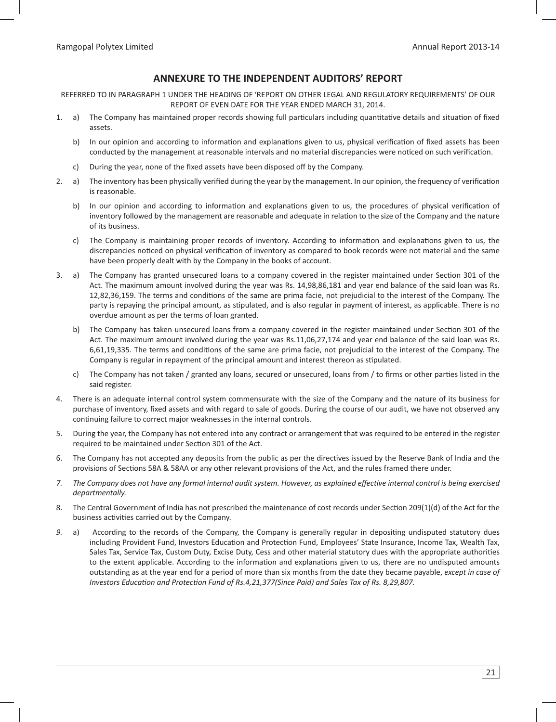# **ANNEXURE TO THE INDEPENDENT AUDITORS' REPORT**

REFERRED TO IN PARAGRAPH 1 UNDER THE HEADING OF 'REPORT ON OTHER LEGAL AND REGULATORY REQUIREMENTS' OF OUR REPORT OF EVEN DATE FOR THE YEAR ENDED MARCH 31, 2014.

- 1. a) The Company has maintained proper records showing full particulars including quantitative details and situation of fixed assets.
- b) In our opinion and according to information and explanations given to us, physical verification of fixed assets has been conducted by the management at reasonable intervals and no material discrepancies were noticed on such verification.
	- c) During the year, none of the fixed assets have been disposed off by the Company.
- 2. a) The inventory has been physically verified during the year by the management. In our opinion, the frequency of verification is reasonable.
- b) In our opinion and according to information and explanations given to us, the procedures of physical verification of inventory followed by the management are reasonable and adequate in relation to the size of the Company and the nature of its business.
- c) The Company is maintaining proper records of inventory. According to information and explanations given to us, the discrepancies noticed on physical verification of inventory as compared to book records were not material and the same have been properly dealt with by the Company in the books of account.
- 3. a) The Company has granted unsecured loans to a company covered in the register maintained under Section 301 of the Act. The maximum amount involved during the year was Rs. 14,98,86,181 and year end balance of the said loan was Rs. 12,82,36,159. The terms and conditions of the same are prima facie, not prejudicial to the interest of the Company. The party is repaying the principal amount, as stipulated, and is also regular in payment of interest, as applicable. There is no overdue amount as per the terms of loan granted.
- b) The Company has taken unsecured loans from a company covered in the register maintained under Section 301 of the Act. The maximum amount involved during the year was Rs.11,06,27,174 and year end balance of the said loan was Rs. 6,61,19,335. The terms and conditions of the same are prima facie, not prejudicial to the interest of the Company. The Company is regular in repayment of the principal amount and interest thereon as stipulated.
- c) The Company has not taken / granted any loans, secured or unsecured, loans from / to firms or other parties listed in the said register.
- 4. There is an adequate internal control system commensurate with the size of the Company and the nature of its business for purchase of inventory, fixed assets and with regard to sale of goods. During the course of our audit, we have not observed any continuing failure to correct major weaknesses in the internal controls.
- 5. During the year, the Company has not entered into any contract or arrangement that was required to be entered in the register required to be maintained under Section 301 of the Act.
- 6. The Company has not accepted any deposits from the public as per the directives issued by the Reserve Bank of India and the provisions of Sections 58A & 58AA or any other relevant provisions of the Act, and the rules framed there under.
- 7. The Company does not have any formal internal audit system. However, as explained effective internal control is being exercised *departmentally.*
- 8. The Central Government of India has not prescribed the maintenance of cost records under Section 209(1)(d) of the Act for the business activities carried out by the Company.
- 9. a) According to the records of the Company, the Company is generally regular in depositing undisputed statutory dues including Provident Fund, Investors Education and Protection Fund, Employees' State Insurance, Income Tax, Wealth Tax, Sales Tax, Service Tax, Custom Duty, Excise Duty, Cess and other material statutory dues with the appropriate authorities to the extent applicable. According to the information and explanations given to us, there are no undisputed amounts outstanding as at the year end for a period of more than six months from the date they became payable, *except in case of Investors Education and Protection Fund of Rs.4,21,377(Since Paid) and Sales Tax of Rs. 8,29,807.*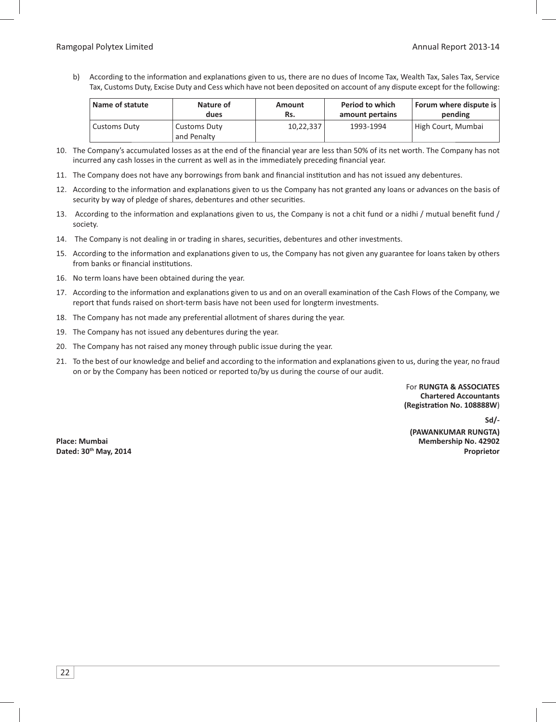b) According to the information and explanations given to us, there are no dues of Income Tax, Wealth Tax, Sales Tax, Service Tax, Customs Duty, Excise Duty and Cess which have not been deposited on account of any dispute except for the following:

| Name of statute | Nature of                          | Amount    | Period to which | Forum where dispute is |
|-----------------|------------------------------------|-----------|-----------------|------------------------|
|                 | dues                               | Rs.       | amount pertains | pending                |
| Customs Duty    | <b>Customs Duty</b><br>and Penalty | 10,22,337 | 1993-1994       | High Court, Mumbai     |

- 10. The Company's accumulated losses as at the end of the financial year are less than 50% of its net worth. The Company has not incurred any cash losses in the current as well as in the immediately preceding financial year.
- 11. The Company does not have any borrowings from bank and financial institution and has not issued any debentures.
- 12. According to the information and explanations given to us the Company has not granted any loans or advances on the basis of security by way of pledge of shares, debentures and other securities.
- 13. According to the information and explanations given to us, the Company is not a chit fund or a nidhi / mutual benefit fund / society.
- 14. The Company is not dealing in or trading in shares, securities, debentures and other investments.
- 15. According to the information and explanations given to us, the Company has not given any guarantee for loans taken by others from banks or financial institutions.
- 16. No term loans have been obtained during the year.
- 17. According to the information and explanations given to us and on an overall examination of the Cash Flows of the Company, we report that funds raised on short-term basis have not been used for longterm investments.
- 18. The Company has not made any preferential allotment of shares during the year.
- 19. The Company has not issued any debentures during the year.
- 20. The Company has not raised any money through public issue during the year.
- 21. To the best of our knowledge and belief and according to the information and explanations given to us, during the year, no fraud on or by the Company has been noticed or reported to/by us during the course of our audit.

 For **RUNGTA & ASSOCIATES Chartered Accountants (Registra- on No. 108888W**)

**Sd/- (PAWANKUMAR RUNGTA)** Place: Mumbai **Membership No. 42902 Dated: 30th May, 2014 Proprietor**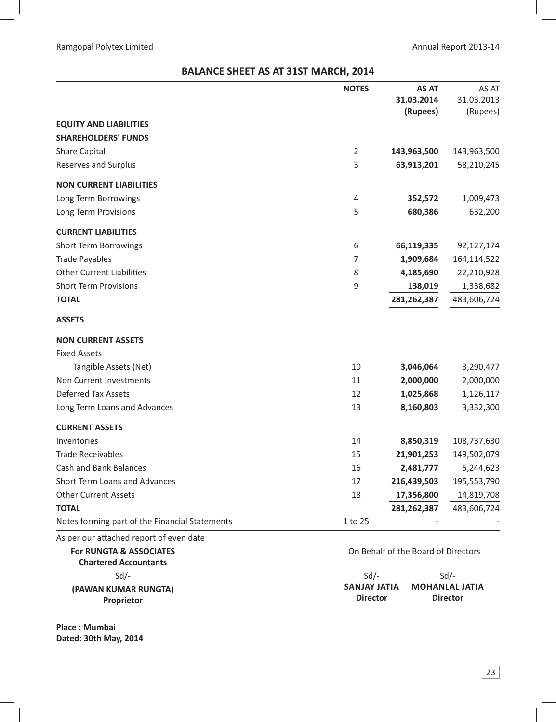# **BALANCE SHEET AS AT 31ST MARCH, 2014**

|                                                | <b>NOTES</b> | <b>AS AT</b> | AS AT       |
|------------------------------------------------|--------------|--------------|-------------|
|                                                |              | 31.03.2014   | 31.03.2013  |
|                                                |              | (Rupees)     | (Rupees)    |
| <b>EQUITY AND LIABILITIES</b>                  |              |              |             |
| <b>SHAREHOLDERS' FUNDS</b>                     |              |              |             |
| <b>Share Capital</b>                           | 2            | 143,963,500  | 143,963,500 |
| Reserves and Surplus                           | 3            | 63,913,201   | 58,210,245  |
| <b>NON CURRENT LIABILITIES</b>                 |              |              |             |
| Long Term Borrowings                           | 4            | 352,572      | 1,009,473   |
| Long Term Provisions                           | 5            | 680,386      | 632,200     |
| <b>CURRENT LIABILITIES</b>                     |              |              |             |
| <b>Short Term Borrowings</b>                   | 6            | 66,119,335   | 92,127,174  |
| <b>Trade Payables</b>                          | 7            | 1,909,684    | 164,114,522 |
| <b>Other Current Liabilities</b>               | 8            | 4,185,690    | 22,210,928  |
| <b>Short Term Provisions</b>                   | 9            | 138,019      | 1,338,682   |
| <b>TOTAL</b>                                   |              | 281,262,387  | 483,606,724 |
| <b>ASSETS</b>                                  |              |              |             |
| <b>NON CURRENT ASSETS</b>                      |              |              |             |
| <b>Fixed Assets</b>                            |              |              |             |
| Tangible Assets (Net)                          | 10           | 3,046,064    | 3,290,477   |
| Non Current Investments                        | 11           | 2,000,000    | 2,000,000   |
| <b>Deferred Tax Assets</b>                     | 12           | 1,025,868    | 1,126,117   |
| Long Term Loans and Advances                   | 13           | 8,160,803    | 3,332,300   |
| <b>CURRENT ASSETS</b>                          |              |              |             |
| Inventories                                    | 14           | 8,850,319    | 108,737,630 |
| <b>Trade Receivables</b>                       | 15           | 21,901,253   | 149,502,079 |
| <b>Cash and Bank Balances</b>                  | 16           | 2,481,777    | 5,244,623   |
| <b>Short Term Loans and Advances</b>           | 17           | 216,439,503  | 195,553,790 |
| <b>Other Current Assets</b>                    | 18           | 17,356,800   | 14,819,708  |
| <b>TOTAL</b>                                   |              | 281,262,387  | 483,606,724 |
| Notes forming part of the Financial Statements | 1 to 25      |              |             |
| As per our attached report of even date        |              |              |             |

 **For RUNGTA & ASSOCIATES Chartered Accountants (PAWAN KUMAR RUNGTA) Proprietor**

**Place : Mumbai Dated: 30th May, 2014** On Behalf of the Board of Directors

Sd/- Sd/- Sd/- **SANJAY JATIA MOHANLAL JATIA Director Director**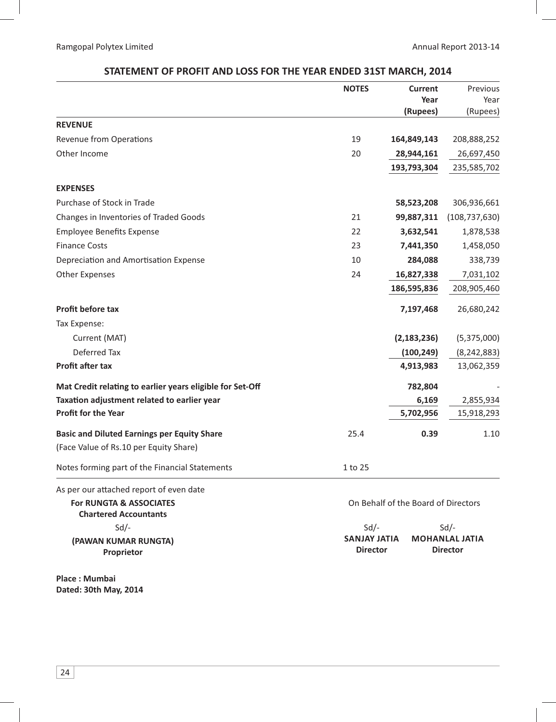# **STATEMENT OF PROFIT AND LOSS FOR THE YEAR ENDED 31ST MARCH, 2014**

|                                                           | <b>NOTES</b> | <b>Current</b><br>Year<br>(Rupees) | Previous<br>Year<br>(Rupees) |
|-----------------------------------------------------------|--------------|------------------------------------|------------------------------|
| <b>REVENUE</b>                                            |              |                                    |                              |
| <b>Revenue from Operations</b>                            | 19           | 164,849,143                        | 208,888,252                  |
| Other Income                                              | 20           | 28,944,161                         | 26,697,450                   |
|                                                           |              | 193,793,304                        | 235,585,702                  |
| <b>EXPENSES</b>                                           |              |                                    |                              |
| Purchase of Stock in Trade                                |              | 58,523,208                         | 306,936,661                  |
| Changes in Inventories of Traded Goods                    | 21           | 99,887,311                         | (108, 737, 630)              |
| <b>Employee Benefits Expense</b>                          | 22           | 3,632,541                          | 1,878,538                    |
| <b>Finance Costs</b>                                      | 23           | 7,441,350                          | 1,458,050                    |
| Depreciation and Amortisation Expense                     | 10           | 284,088                            | 338,739                      |
| <b>Other Expenses</b>                                     | 24           | 16,827,338                         | 7,031,102                    |
|                                                           |              | 186,595,836                        | 208,905,460                  |
| Profit before tax                                         |              | 7,197,468                          | 26,680,242                   |
| Tax Expense:                                              |              |                                    |                              |
| Current (MAT)                                             |              | (2, 183, 236)                      | (5,375,000)                  |
| <b>Deferred Tax</b>                                       |              | (100, 249)                         | (8, 242, 883)                |
| <b>Profit after tax</b>                                   |              | 4,913,983                          | 13,062,359                   |
| Mat Credit relating to earlier years eligible for Set-Off |              | 782,804                            |                              |
| Taxation adjustment related to earlier year               |              | 6,169                              | 2,855,934                    |
| <b>Profit for the Year</b>                                |              | 5,702,956                          | 15,918,293                   |
| <b>Basic and Diluted Earnings per Equity Share</b>        | 25.4         | 0.39                               | 1.10                         |
| (Face Value of Rs.10 per Equity Share)                    |              |                                    |                              |
| Notes forming part of the Financial Statements            | 1 to 25      |                                    |                              |
| As per our attached report of even date                   |              |                                    |                              |
|                                                           |              |                                    |                              |

 **For RUNGTA & ASSOCIATES Chartered Accountants** On Behalf of the Board of Directors Sd/- Sd/- Sd/- **SANJAY JATIA MOHANLAL JATIA Director Director (PAWAN KUMAR RUNGTA) Proprietor**

**Place : Mumbai Dated: 30th May, 2014**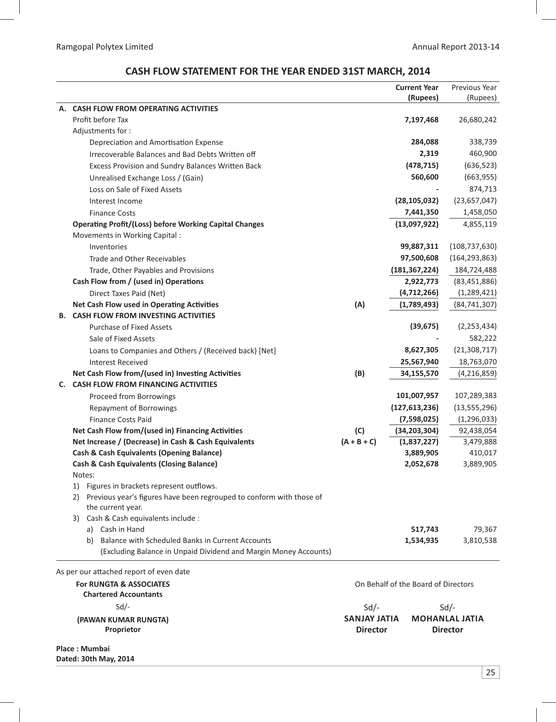# **CASH FLOW STATEMENT FOR THE YEAR ENDED 31ST MARCH, 2014**

|    |                                                                                                           |                      | <b>Current Year</b>                 | Previous Year         |
|----|-----------------------------------------------------------------------------------------------------------|----------------------|-------------------------------------|-----------------------|
|    |                                                                                                           |                      | (Rupees)                            | (Rupees)              |
| А. | <b>CASH FLOW FROM OPERATING ACTIVITIES</b>                                                                |                      |                                     |                       |
|    | Profit before Tax                                                                                         |                      | 7,197,468                           | 26,680,242            |
|    | Adjustments for:                                                                                          |                      |                                     |                       |
|    | Depreciation and Amortisation Expense                                                                     |                      | 284,088                             | 338,739               |
|    | Irrecoverable Balances and Bad Debts Written off                                                          |                      | 2,319                               | 460,900               |
|    | <b>Excess Provision and Sundry Balances Written Back</b>                                                  |                      | (478, 715)                          | (636, 523)            |
|    | Unrealised Exchange Loss / (Gain)                                                                         |                      | 560,600                             | (663, 955)            |
|    | Loss on Sale of Fixed Assets                                                                              |                      |                                     | 874,713               |
|    | Interest Income                                                                                           |                      | (28, 105, 032)                      | (23,657,047)          |
|    | <b>Finance Costs</b>                                                                                      |                      | 7,441,350                           | 1,458,050             |
|    | <b>Operating Profit/(Loss) before Working Capital Changes</b>                                             |                      | (13,097,922)                        | 4,855,119             |
|    | Movements in Working Capital :                                                                            |                      |                                     |                       |
|    | Inventories                                                                                               |                      | 99,887,311                          | (108, 737, 630)       |
|    | Trade and Other Receivables                                                                               |                      | 97,500,608                          | (164, 293, 863)       |
|    | Trade, Other Payables and Provisions                                                                      |                      | (181, 367, 224)                     | 184,724,488           |
|    | Cash Flow from / (used in) Operations                                                                     |                      | 2,922,773                           | (83, 451, 886)        |
|    | Direct Taxes Paid (Net)                                                                                   |                      | (4,712,266)                         | (1, 289, 421)         |
|    | Net Cash Flow used in Operating Activities                                                                | (A)                  | (1,789,493)                         | (84, 741, 307)        |
|    | <b>B. CASH FLOW FROM INVESTING ACTIVITIES</b>                                                             |                      |                                     |                       |
|    | <b>Purchase of Fixed Assets</b>                                                                           |                      | (39, 675)                           | (2, 253, 434)         |
|    | Sale of Fixed Assets                                                                                      |                      |                                     | 582,222               |
|    | Loans to Companies and Others / (Received back) [Net]                                                     |                      | 8,627,305                           | (21, 308, 717)        |
|    | <b>Interest Received</b>                                                                                  |                      | 25,567,940                          | 18,763,070            |
|    | Net Cash Flow from/(used in) Investing Activities                                                         | (B)                  | 34,155,570                          | (4, 216, 859)         |
| C. | <b>CASH FLOW FROM FINANCING ACTIVITIES</b>                                                                |                      |                                     |                       |
|    | Proceed from Borrowings                                                                                   |                      | 101,007,957                         | 107,289,383           |
|    | <b>Repayment of Borrowings</b>                                                                            |                      | (127, 613, 236)                     | (13, 555, 296)        |
|    | <b>Finance Costs Paid</b>                                                                                 |                      | (7,598,025)                         | (1, 296, 033)         |
|    | Net Cash Flow from/(used in) Financing Activities<br>Net Increase / (Decrease) in Cash & Cash Equivalents | (C)<br>$(A + B + C)$ | (34, 203, 304)<br>(1,837,227)       | 92,438,054            |
|    | <b>Cash &amp; Cash Equivalents (Opening Balance)</b>                                                      |                      | 3,889,905                           | 3,479,888<br>410,017  |
|    | <b>Cash &amp; Cash Equivalents (Closing Balance)</b>                                                      |                      | 2,052,678                           | 3,889,905             |
|    | Notes:                                                                                                    |                      |                                     |                       |
|    | 1) Figures in brackets represent outflows.                                                                |                      |                                     |                       |
|    | 2) Previous year's figures have been regrouped to conform with those of                                   |                      |                                     |                       |
|    | the current year.                                                                                         |                      |                                     |                       |
|    | 3) Cash & Cash equivalents include :                                                                      |                      |                                     |                       |
|    | a) Cash in Hand                                                                                           |                      | 517,743                             | 79,367                |
|    | b) Balance with Scheduled Banks in Current Accounts                                                       |                      | 1,534,935                           | 3,810,538             |
|    | (Excluding Balance in Unpaid Dividend and Margin Money Accounts)                                          |                      |                                     |                       |
|    | As per our attached report of even date                                                                   |                      |                                     |                       |
|    | <b>For RUNGTA &amp; ASSOCIATES</b>                                                                        |                      | On Behalf of the Board of Directors |                       |
|    | <b>Chartered Accountants</b>                                                                              |                      |                                     |                       |
|    | $Sd$ -                                                                                                    | Sd                   |                                     | $Sd$ /-               |
|    | (PAWAN KUMAR RUNGTA)                                                                                      | <b>SANJAY JATIA</b>  |                                     | <b>MOHANLAL JATIA</b> |
|    | Proprietor                                                                                                | <b>Director</b>      |                                     | <b>Director</b>       |
|    |                                                                                                           |                      |                                     |                       |

**Place : Mumbai Dated: 30th May, 2014**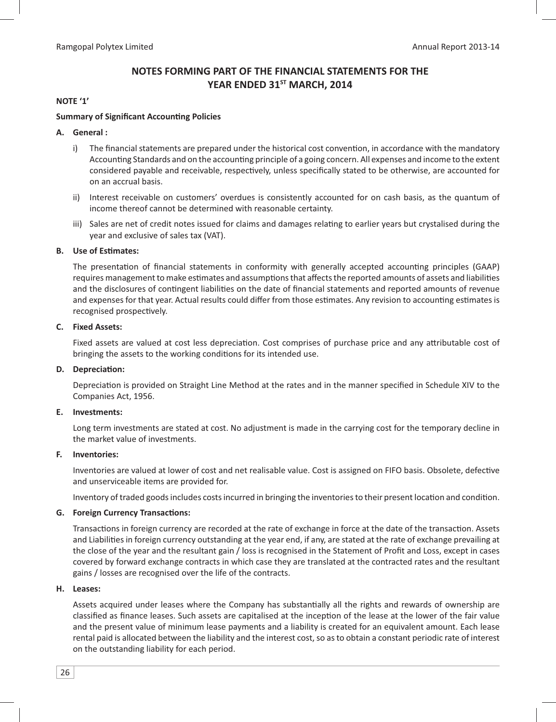# **NOTES FORMING PART OF THE FINANCIAL STATEMENTS FOR THE**  YEAR ENDED 31<sup>ST</sup> MARCH, 2014

### **NOTE '1'**

#### **Summary of Significant Accounting Policies**

#### **A. General :**

- i) The financial statements are prepared under the historical cost convention, in accordance with the mandatory Accounting Standards and on the accounting principle of a going concern. All expenses and income to the extent considered payable and receivable, respectively, unless specifically stated to be otherwise, are accounted for on an accrual basis.
- ii) Interest receivable on customers' overdues is consistently accounted for on cash basis, as the quantum of income thereof cannot be determined with reasonable certainty.
- iii) Sales are net of credit notes issued for claims and damages relating to earlier years but crystalised during the year and exclusive of sales tax (VAT).

#### **B.** Use of Estimates:

The presentation of financial statements in conformity with generally accepted accounting principles (GAAP) requires management to make estimates and assumptions that affects the reported amounts of assets and liabilities and the disclosures of contingent liabilities on the date of financial statements and reported amounts of revenue and expenses for that year. Actual results could differ from those estimates. Any revision to accounting estimates is recognised prospectively.

#### **C. Fixed Assets:**

Fixed assets are valued at cost less depreciation. Cost comprises of purchase price and any attributable cost of bringing the assets to the working conditions for its intended use.

#### **D.** Depreciation:

Depreciation is provided on Straight Line Method at the rates and in the manner specified in Schedule XIV to the Companies Act, 1956.

#### **E. Investments:**

Long term investments are stated at cost. No adjustment is made in the carrying cost for the temporary decline in the market value of investments.

#### **F. Inventories:**

Inventories are valued at lower of cost and net realisable value. Cost is assigned on FIFO basis. Obsolete, defective and unserviceable items are provided for.

Inventory of traded goods includes costs incurred in bringing the inventories to their present location and condition.

### **G.** Foreign Currency Transactions:

Transactions in foreign currency are recorded at the rate of exchange in force at the date of the transaction. Assets and Liabilities in foreign currency outstanding at the year end, if any, are stated at the rate of exchange prevailing at the close of the year and the resultant gain / loss is recognised in the Statement of Profit and Loss, except in cases covered by forward exchange contracts in which case they are translated at the contracted rates and the resultant gains / losses are recognised over the life of the contracts.

#### **H. Leases:**

Assets acquired under leases where the Company has substantially all the rights and rewards of ownership are classified as finance leases. Such assets are capitalised at the inception of the lease at the lower of the fair value and the present value of minimum lease payments and a liability is created for an equivalent amount. Each lease rental paid is allocated between the liability and the interest cost, so as to obtain a constant periodic rate of interest on the outstanding liability for each period.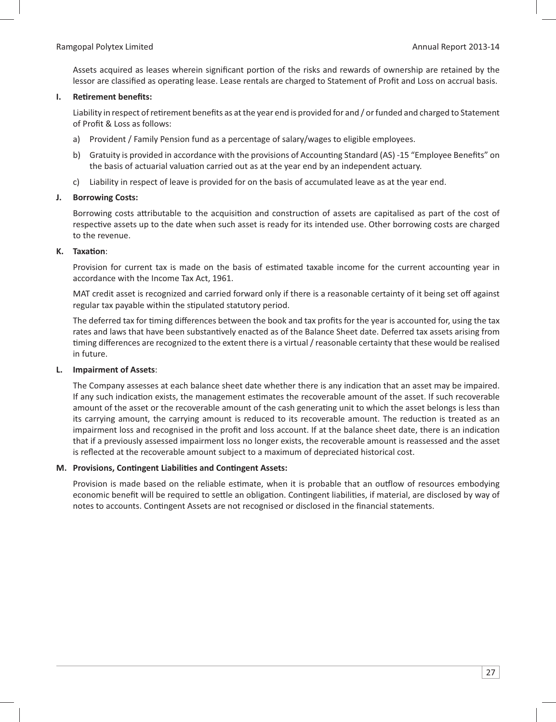Assets acquired as leases wherein significant portion of the risks and rewards of ownership are retained by the lessor are classified as operating lease. Lease rentals are charged to Statement of Profit and Loss on accrual basis.

#### **I.** Retirement benefits:

Liability in respect of retirement benefits as at the year end is provided for and / or funded and charged to Statement of Profit & Loss as follows:

- a) Provident / Family Pension fund as a percentage of salary/wages to eligible employees.
- b) Gratuity is provided in accordance with the provisions of Accounting Standard (AS) -15 "Employee Benefits" on the basis of actuarial valuation carried out as at the year end by an independent actuary.
- c) Liability in respect of leave is provided for on the basis of accumulated leave as at the year end.

#### **J. Borrowing Costs:**

Borrowing costs attributable to the acquisition and construction of assets are capitalised as part of the cost of respective assets up to the date when such asset is ready for its intended use. Other borrowing costs are charged to the revenue.

#### **K.** Taxation:

Provision for current tax is made on the basis of estimated taxable income for the current accounting year in accordance with the Income Tax Act, 1961.

 MAT credit asset is recognized and carried forward only if there is a reasonable certainty of it being set off against regular tax payable within the stipulated statutory period.

The deferred tax for timing differences between the book and tax profits for the year is accounted for, using the tax rates and laws that have been substantively enacted as of the Balance Sheet date. Deferred tax assets arising from timing differences are recognized to the extent there is a virtual / reasonable certainty that these would be realised in future.

### **L. Impairment of Assets**:

The Company assesses at each balance sheet date whether there is any indication that an asset may be impaired. If any such indication exists, the management estimates the recoverable amount of the asset. If such recoverable amount of the asset or the recoverable amount of the cash generating unit to which the asset belongs is less than its carrying amount, the carrying amount is reduced to its recoverable amount. The reduction is treated as an impairment loss and recognised in the profit and loss account. If at the balance sheet date, there is an indication that if a previously assessed impairment loss no longer exists, the recoverable amount is reassessed and the asset is reflected at the recoverable amount subject to a maximum of depreciated historical cost.

#### **M. Provisions, Contingent Liabilities and Contingent Assets:**

Provision is made based on the reliable estimate, when it is probable that an outflow of resources embodying economic benefit will be required to settle an obligation. Contingent liabilities, if material, are disclosed by way of notes to accounts. Contingent Assets are not recognised or disclosed in the financial statements.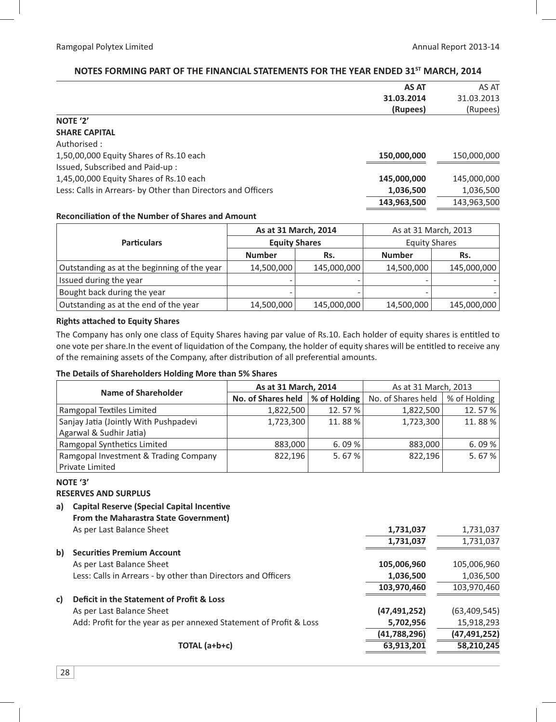## NOTES FORMING PART OF THE FINANCIAL STATEMENTS FOR THE YEAR ENDED 31<sup>5T</sup> MARCH, 2014

|                                                              | <b>AS AT</b> | AS AT       |
|--------------------------------------------------------------|--------------|-------------|
|                                                              | 31.03.2014   | 31.03.2013  |
|                                                              | (Rupees)     | (Rupees)    |
| NOTE '2'                                                     |              |             |
| <b>SHARE CAPITAL</b>                                         |              |             |
| Authorised :                                                 |              |             |
| 1,50,00,000 Equity Shares of Rs.10 each                      | 150,000,000  | 150,000,000 |
| Issued, Subscribed and Paid-up:                              |              |             |
| 1,45,00,000 Equity Shares of Rs.10 each                      | 145,000,000  | 145,000,000 |
| Less: Calls in Arrears- by Other than Directors and Officers | 1,036,500    | 1,036,500   |
|                                                              | 143,963,500  | 143,963,500 |

#### **Reconciliation of the Number of Shares and Amount**

|                                             | As at 31 March, 2014                         |             | As at 31 March, 2013 |             |
|---------------------------------------------|----------------------------------------------|-------------|----------------------|-------------|
| <b>Particulars</b>                          | <b>Equity Shares</b><br><b>Number</b><br>Rs. |             | <b>Equity Shares</b> |             |
|                                             |                                              |             | <b>Number</b>        | Rs.         |
| Outstanding as at the beginning of the year | 14,500,000                                   | 145,000,000 | 14,500,000           | 145,000,000 |
| Issued during the year                      |                                              |             |                      |             |
| Bought back during the year                 | -                                            |             |                      |             |
| Outstanding as at the end of the year       | 14,500,000                                   | 145,000,000 | 14,500,000           | 145,000,000 |

### **Rights attached to Equity Shares**

The Company has only one class of Equity Shares having par value of Rs.10. Each holder of equity shares is entitled to one vote per share. In the event of liquidation of the Company, the holder of equity shares will be entitled to receive any of the remaining assets of the Company, after distribution of all preferential amounts.

### **The Details of Shareholders Holding More than 5% Shares**

| <b>Name of Shareholder</b>            | As at 31 March, 2014 |                  | As at 31 March, 2013 |              |  |
|---------------------------------------|----------------------|------------------|----------------------|--------------|--|
|                                       | No. of Shares held   | % of Holding $ $ | No. of Shares held   | % of Holding |  |
| Ramgopal Textiles Limited             | 1,822,500            | 12.57%           | 1,822,500            | 12.57%       |  |
| Sanjay Jatia (Jointly With Pushpadevi | 1,723,300            | 11.88%           | 1,723,300            | 11.88%       |  |
| Agarwal & Sudhir Jatia)               |                      |                  |                      |              |  |
| Ramgopal Synthetics Limited           | 883,000              | 6.09%            | 883,000              | 6.09%        |  |
| Ramgopal Investment & Trading Company | 822.196              | 5.67%            | 822.196              | 5.67%        |  |
| <b>Private Limited</b>                |                      |                  |                      |              |  |

#### **NOTE '3' RESERVES AND SURPLUS**

a) Capital Reserve (Special Capital Incentive  **From the Maharastra State Government)**

| 1,731,037      | 1,731,037      |
|----------------|----------------|
| 1,731,037      | 1,731,037      |
|                |                |
| 105,006,960    | 105,006,960    |
| 1,036,500      | 1,036,500      |
| 103,970,460    | 103,970,460    |
|                |                |
| (47, 491, 252) | (63, 409, 545) |
| 5,702,956      | 15,918,293     |
| (41,788,296)   | (47, 491, 252) |
| 63,913,201     | 58,210,245     |
|                |                |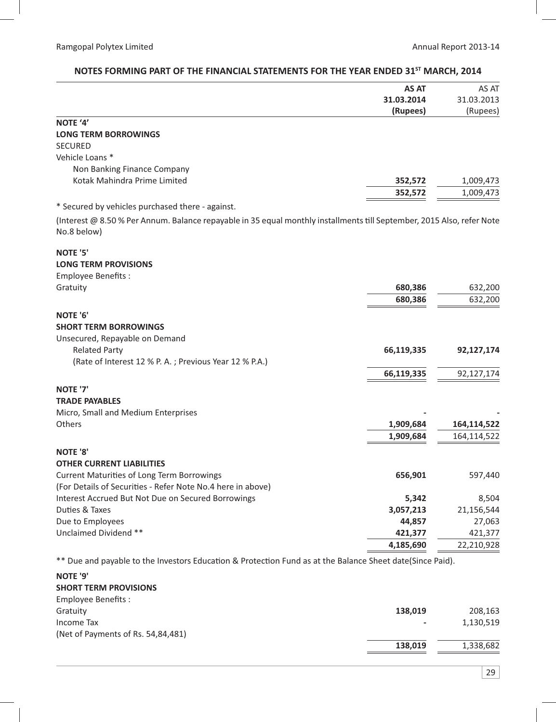# **AS AT 31.03.2014 (Rupees)** AS AT 31.03.2013 (Rupees) **NOTE '4' LONG TERM BORROWINGS** SECURED Vehicle Loans \* Non Banking Finance Company Kotak Mahindra Prime Limited **352,572** 1,009,473  **352,572** 1,009,473 \* Secured by vehicles purchased there - against. (Interest @ 8.50% Per Annum. Balance repayable in 35 equal monthly installments till September, 2015 Also, refer Note No.8 below) **NOTE '5' LONG TERM PROVISIONS**  Employee Benefits : Gratuity **680,386** 632,200  **680,386** 632,200 **NOTE '6' SHORT TERM BORROWINGS**  Unsecured, Repayable on Demand Related Party **66,119,335 92,127,174**  (Rate of Interest 12 % P. A. ; Previous Year 12 % P.A.)  **66,119,335** 92,127,174 **NOTE '7' TRADE PAYABLES Micro, Small and Medium Enterprises** Others **1,909,684 164,114,522 1,909,684** 164,114,522 **NOTE '8' OTHER CURRENT LIABILITIES** Current Maturities of Long Term Borrowings **656,901 656,901** 597,440 (For Details of Securities - Refer Note No.4 here in above) Interest Accrued But Not Due on Secured Borrowings **5,342** 8,504 Duties & Taxes es & Taxes **3,057,213** 21,156,544 Due to Employees **44,857** 27,063 Unclaimed Dividend \*\* **421,377** 421,377  **4,185,690** 22,210,928

# NOTES FORMING PART OF THE FINANCIAL STATEMENTS FOR THE YEAR ENDED 31<sup>st</sup> MARCH, 2014

\*\* Due and payable to the Investors Education & Protection Fund as at the Balance Sheet date(Since Paid).

#### **NOTE '9' SHORT TERM PROVISIONS**

| 138.019 | 208.163   |
|---------|-----------|
|         | 1,130,519 |
|         |           |
| 138.019 | 1,338,682 |
|         |           |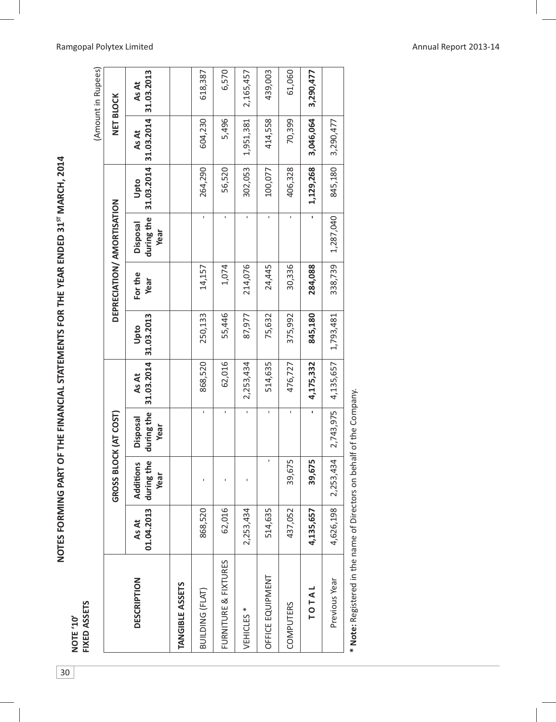NOTES FORMING PART OF THE FINANCIAL STATEMENTS FOR THE YEAR ENDED 31<sup>ST</sup> MARCH, 2014 30**NOTES FORMING PART OF THE FINANCIAL STATEMENTS FOR THE YEAR ENDED 31ST MARCH, 2014**

NOTE '10'<br>FIXED ASSETS **FIXED ASSETS NOTE '10'** 

 $\overline{30}$ 

|                        |                     |                                 |                                       |                     |                    |                 |                                       |                    |                     | (Amount in Rupees)  |
|------------------------|---------------------|---------------------------------|---------------------------------------|---------------------|--------------------|-----------------|---------------------------------------|--------------------|---------------------|---------------------|
|                        |                     | GROSS BLOCK (AT COST)           |                                       |                     |                    |                 | DEPRECIATION/ AMORTISATION            |                    |                     | <b>NET BLOCK</b>    |
| <b>DESCRIPTION</b>     | 01.04.2013<br>As At | during the<br>Additions<br>Year | during the<br><b>Disposal</b><br>Year | 31.03.2014<br>As At | 31.03.2013<br>Upto | For the<br>Year | during the<br><b>Disposal</b><br>Year | 31.03.2014<br>Upto | 31.03.2014<br>As At | 31.03.2013<br>As At |
| <b>TANGIBLE ASSETS</b> |                     |                                 |                                       |                     |                    |                 |                                       |                    |                     |                     |
| BUILDING (FLAT)        | 868,520             |                                 | $\mathbf{I}$                          | 868,520             | 250,133            | 14,157          | ı                                     | 264,290            | 604,230             | 618,387             |
| FURNITURE & FIXTURES   | 62,016              |                                 | ı                                     | 62,016              | 55,446             | 1,074           |                                       | 56,520             | 5,496               | 6,570               |
| VEHICLES <sup>*</sup>  | 2,253,434           |                                 | ı                                     | 2,253,434           | 87,977             | 214,076         |                                       | 302,053            | 1,951,381           | 2,165,457           |
| OFFICE EQUIPMENT       | 514,635             | ï                               | ı                                     | 514,635             | 75,632             | 24,445          |                                       | 100,077            | 414,558             | 439,003             |
| COMPUTERS              | 437,052             | 39,675                          | ı                                     | 476,727             | 375,992            | 30,336          |                                       | 406,328            | 70,399              | 61,060              |
| TOTAL                  | 4,135,657           | 39,675                          |                                       | 4,175,332           | 845,180            | 284,088         |                                       | 1,129,268          | 3,046,064           | 3,290,477           |
| Previous Year          | 4,626,198           | 2,253,434                       | 2,743,975                             | 4,135,657           | 1,793,481          | 338,739         | 1,287,040                             | 845,180            | 3,290,477           |                     |
|                        |                     |                                 |                                       |                     |                    |                 |                                       |                    |                     |                     |

\* Note: Registered in the name of Directors on behalf of the Company. **\* Note:** Registered in the name of Directors on behalf of the Company.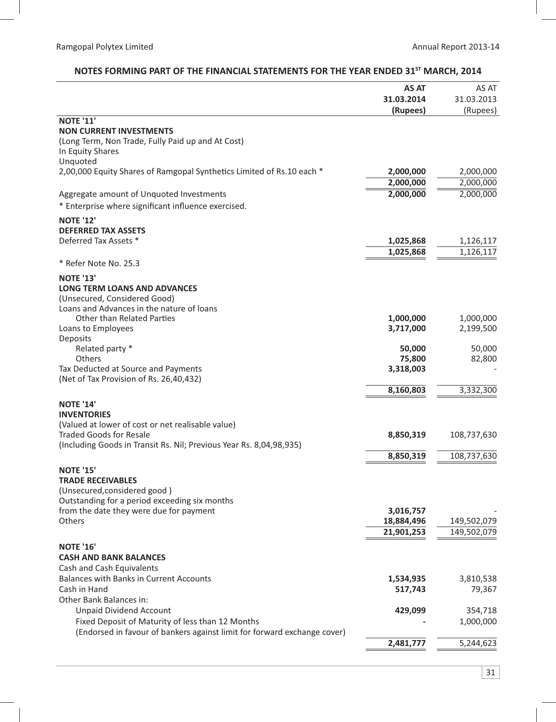| 31.03.2013<br>31.03.2014<br>(Rupees)<br>(Rupees)<br><b>NOTE '11'</b><br><b>NON CURRENT INVESTMENTS</b><br>(Long Term, Non Trade, Fully Paid up and At Cost)<br>In Equity Shares<br>Unquoted<br>2,00,000 Equity Shares of Ramgopal Synthetics Limited of Rs.10 each *<br>2,000,000<br>2,000,000<br>2,000,000<br>2,000,000<br>2,000,000<br>2,000,000<br>Aggregate amount of Unquoted Investments<br>* Enterprise where significant influence exercised.<br><b>NOTE '12'</b><br><b>DEFERRED TAX ASSETS</b><br>Deferred Tax Assets *<br>1,025,868<br>1,126,117<br>1,025,868<br>1,126,117<br>* Refer Note No. 25.3<br><b>NOTE '13'</b><br><b>LONG TERM LOANS AND ADVANCES</b><br>(Unsecured, Considered Good)<br>Loans and Advances in the nature of loans<br><b>Other than Related Parties</b><br>1,000,000<br>1,000,000<br>3,717,000<br>2,199,500<br>Loans to Employees<br>Deposits<br>Related party *<br>50,000<br>50,000<br>Others<br>75,800<br>82,800<br>Tax Deducted at Source and Payments<br>3,318,003<br>(Net of Tax Provision of Rs. 26,40,432)<br>8,160,803<br>3,332,300<br><b>NOTE '14'</b><br><b>INVENTORIES</b><br>(Valued at lower of cost or net realisable value)<br><b>Traded Goods for Resale</b><br>8,850,319<br>108,737,630<br>(Including Goods in Transit Rs. Nil; Previous Year Rs. 8,04,98,935)<br>8,850,319<br>108,737,630<br><b>NOTE '15'</b><br><b>TRADE RECEIVABLES</b><br>(Unsecured, considered good)<br>Outstanding for a period exceeding six months<br>from the date they were due for payment<br>3,016,757<br><b>Others</b><br>18,884,496<br>149,502,079<br>21,901,253<br>149,502,079<br><b>NOTE '16'</b><br><b>CASH AND BANK BALANCES</b><br>Cash and Cash Equivalents<br>Balances with Banks in Current Accounts<br>3,810,538<br>1,534,935<br>Cash in Hand<br>517,743<br>79,367<br>Other Bank Balances in:<br><b>Unpaid Dividend Account</b><br>429,099<br>354,718<br>Fixed Deposit of Maturity of less than 12 Months<br>1,000,000<br>(Endorsed in favour of bankers against limit for forward exchange cover)<br>2,481,777<br>5,244,623 | AS AT | AS AT |
|--------------------------------------------------------------------------------------------------------------------------------------------------------------------------------------------------------------------------------------------------------------------------------------------------------------------------------------------------------------------------------------------------------------------------------------------------------------------------------------------------------------------------------------------------------------------------------------------------------------------------------------------------------------------------------------------------------------------------------------------------------------------------------------------------------------------------------------------------------------------------------------------------------------------------------------------------------------------------------------------------------------------------------------------------------------------------------------------------------------------------------------------------------------------------------------------------------------------------------------------------------------------------------------------------------------------------------------------------------------------------------------------------------------------------------------------------------------------------------------------------------------------------------------------------------------------------------------------------------------------------------------------------------------------------------------------------------------------------------------------------------------------------------------------------------------------------------------------------------------------------------------------------------------------------------------------------------------------------------------------------------------------------------------------------------------------------|-------|-------|
|                                                                                                                                                                                                                                                                                                                                                                                                                                                                                                                                                                                                                                                                                                                                                                                                                                                                                                                                                                                                                                                                                                                                                                                                                                                                                                                                                                                                                                                                                                                                                                                                                                                                                                                                                                                                                                                                                                                                                                                                                                                                          |       |       |
|                                                                                                                                                                                                                                                                                                                                                                                                                                                                                                                                                                                                                                                                                                                                                                                                                                                                                                                                                                                                                                                                                                                                                                                                                                                                                                                                                                                                                                                                                                                                                                                                                                                                                                                                                                                                                                                                                                                                                                                                                                                                          |       |       |
|                                                                                                                                                                                                                                                                                                                                                                                                                                                                                                                                                                                                                                                                                                                                                                                                                                                                                                                                                                                                                                                                                                                                                                                                                                                                                                                                                                                                                                                                                                                                                                                                                                                                                                                                                                                                                                                                                                                                                                                                                                                                          |       |       |
|                                                                                                                                                                                                                                                                                                                                                                                                                                                                                                                                                                                                                                                                                                                                                                                                                                                                                                                                                                                                                                                                                                                                                                                                                                                                                                                                                                                                                                                                                                                                                                                                                                                                                                                                                                                                                                                                                                                                                                                                                                                                          |       |       |
|                                                                                                                                                                                                                                                                                                                                                                                                                                                                                                                                                                                                                                                                                                                                                                                                                                                                                                                                                                                                                                                                                                                                                                                                                                                                                                                                                                                                                                                                                                                                                                                                                                                                                                                                                                                                                                                                                                                                                                                                                                                                          |       |       |
|                                                                                                                                                                                                                                                                                                                                                                                                                                                                                                                                                                                                                                                                                                                                                                                                                                                                                                                                                                                                                                                                                                                                                                                                                                                                                                                                                                                                                                                                                                                                                                                                                                                                                                                                                                                                                                                                                                                                                                                                                                                                          |       |       |
|                                                                                                                                                                                                                                                                                                                                                                                                                                                                                                                                                                                                                                                                                                                                                                                                                                                                                                                                                                                                                                                                                                                                                                                                                                                                                                                                                                                                                                                                                                                                                                                                                                                                                                                                                                                                                                                                                                                                                                                                                                                                          |       |       |
|                                                                                                                                                                                                                                                                                                                                                                                                                                                                                                                                                                                                                                                                                                                                                                                                                                                                                                                                                                                                                                                                                                                                                                                                                                                                                                                                                                                                                                                                                                                                                                                                                                                                                                                                                                                                                                                                                                                                                                                                                                                                          |       |       |
|                                                                                                                                                                                                                                                                                                                                                                                                                                                                                                                                                                                                                                                                                                                                                                                                                                                                                                                                                                                                                                                                                                                                                                                                                                                                                                                                                                                                                                                                                                                                                                                                                                                                                                                                                                                                                                                                                                                                                                                                                                                                          |       |       |
|                                                                                                                                                                                                                                                                                                                                                                                                                                                                                                                                                                                                                                                                                                                                                                                                                                                                                                                                                                                                                                                                                                                                                                                                                                                                                                                                                                                                                                                                                                                                                                                                                                                                                                                                                                                                                                                                                                                                                                                                                                                                          |       |       |
|                                                                                                                                                                                                                                                                                                                                                                                                                                                                                                                                                                                                                                                                                                                                                                                                                                                                                                                                                                                                                                                                                                                                                                                                                                                                                                                                                                                                                                                                                                                                                                                                                                                                                                                                                                                                                                                                                                                                                                                                                                                                          |       |       |
|                                                                                                                                                                                                                                                                                                                                                                                                                                                                                                                                                                                                                                                                                                                                                                                                                                                                                                                                                                                                                                                                                                                                                                                                                                                                                                                                                                                                                                                                                                                                                                                                                                                                                                                                                                                                                                                                                                                                                                                                                                                                          |       |       |
|                                                                                                                                                                                                                                                                                                                                                                                                                                                                                                                                                                                                                                                                                                                                                                                                                                                                                                                                                                                                                                                                                                                                                                                                                                                                                                                                                                                                                                                                                                                                                                                                                                                                                                                                                                                                                                                                                                                                                                                                                                                                          |       |       |
|                                                                                                                                                                                                                                                                                                                                                                                                                                                                                                                                                                                                                                                                                                                                                                                                                                                                                                                                                                                                                                                                                                                                                                                                                                                                                                                                                                                                                                                                                                                                                                                                                                                                                                                                                                                                                                                                                                                                                                                                                                                                          |       |       |
|                                                                                                                                                                                                                                                                                                                                                                                                                                                                                                                                                                                                                                                                                                                                                                                                                                                                                                                                                                                                                                                                                                                                                                                                                                                                                                                                                                                                                                                                                                                                                                                                                                                                                                                                                                                                                                                                                                                                                                                                                                                                          |       |       |
|                                                                                                                                                                                                                                                                                                                                                                                                                                                                                                                                                                                                                                                                                                                                                                                                                                                                                                                                                                                                                                                                                                                                                                                                                                                                                                                                                                                                                                                                                                                                                                                                                                                                                                                                                                                                                                                                                                                                                                                                                                                                          |       |       |
|                                                                                                                                                                                                                                                                                                                                                                                                                                                                                                                                                                                                                                                                                                                                                                                                                                                                                                                                                                                                                                                                                                                                                                                                                                                                                                                                                                                                                                                                                                                                                                                                                                                                                                                                                                                                                                                                                                                                                                                                                                                                          |       |       |
|                                                                                                                                                                                                                                                                                                                                                                                                                                                                                                                                                                                                                                                                                                                                                                                                                                                                                                                                                                                                                                                                                                                                                                                                                                                                                                                                                                                                                                                                                                                                                                                                                                                                                                                                                                                                                                                                                                                                                                                                                                                                          |       |       |
|                                                                                                                                                                                                                                                                                                                                                                                                                                                                                                                                                                                                                                                                                                                                                                                                                                                                                                                                                                                                                                                                                                                                                                                                                                                                                                                                                                                                                                                                                                                                                                                                                                                                                                                                                                                                                                                                                                                                                                                                                                                                          |       |       |
|                                                                                                                                                                                                                                                                                                                                                                                                                                                                                                                                                                                                                                                                                                                                                                                                                                                                                                                                                                                                                                                                                                                                                                                                                                                                                                                                                                                                                                                                                                                                                                                                                                                                                                                                                                                                                                                                                                                                                                                                                                                                          |       |       |
|                                                                                                                                                                                                                                                                                                                                                                                                                                                                                                                                                                                                                                                                                                                                                                                                                                                                                                                                                                                                                                                                                                                                                                                                                                                                                                                                                                                                                                                                                                                                                                                                                                                                                                                                                                                                                                                                                                                                                                                                                                                                          |       |       |
|                                                                                                                                                                                                                                                                                                                                                                                                                                                                                                                                                                                                                                                                                                                                                                                                                                                                                                                                                                                                                                                                                                                                                                                                                                                                                                                                                                                                                                                                                                                                                                                                                                                                                                                                                                                                                                                                                                                                                                                                                                                                          |       |       |
|                                                                                                                                                                                                                                                                                                                                                                                                                                                                                                                                                                                                                                                                                                                                                                                                                                                                                                                                                                                                                                                                                                                                                                                                                                                                                                                                                                                                                                                                                                                                                                                                                                                                                                                                                                                                                                                                                                                                                                                                                                                                          |       |       |
|                                                                                                                                                                                                                                                                                                                                                                                                                                                                                                                                                                                                                                                                                                                                                                                                                                                                                                                                                                                                                                                                                                                                                                                                                                                                                                                                                                                                                                                                                                                                                                                                                                                                                                                                                                                                                                                                                                                                                                                                                                                                          |       |       |
|                                                                                                                                                                                                                                                                                                                                                                                                                                                                                                                                                                                                                                                                                                                                                                                                                                                                                                                                                                                                                                                                                                                                                                                                                                                                                                                                                                                                                                                                                                                                                                                                                                                                                                                                                                                                                                                                                                                                                                                                                                                                          |       |       |
|                                                                                                                                                                                                                                                                                                                                                                                                                                                                                                                                                                                                                                                                                                                                                                                                                                                                                                                                                                                                                                                                                                                                                                                                                                                                                                                                                                                                                                                                                                                                                                                                                                                                                                                                                                                                                                                                                                                                                                                                                                                                          |       |       |
|                                                                                                                                                                                                                                                                                                                                                                                                                                                                                                                                                                                                                                                                                                                                                                                                                                                                                                                                                                                                                                                                                                                                                                                                                                                                                                                                                                                                                                                                                                                                                                                                                                                                                                                                                                                                                                                                                                                                                                                                                                                                          |       |       |
|                                                                                                                                                                                                                                                                                                                                                                                                                                                                                                                                                                                                                                                                                                                                                                                                                                                                                                                                                                                                                                                                                                                                                                                                                                                                                                                                                                                                                                                                                                                                                                                                                                                                                                                                                                                                                                                                                                                                                                                                                                                                          |       |       |
|                                                                                                                                                                                                                                                                                                                                                                                                                                                                                                                                                                                                                                                                                                                                                                                                                                                                                                                                                                                                                                                                                                                                                                                                                                                                                                                                                                                                                                                                                                                                                                                                                                                                                                                                                                                                                                                                                                                                                                                                                                                                          |       |       |
|                                                                                                                                                                                                                                                                                                                                                                                                                                                                                                                                                                                                                                                                                                                                                                                                                                                                                                                                                                                                                                                                                                                                                                                                                                                                                                                                                                                                                                                                                                                                                                                                                                                                                                                                                                                                                                                                                                                                                                                                                                                                          |       |       |
|                                                                                                                                                                                                                                                                                                                                                                                                                                                                                                                                                                                                                                                                                                                                                                                                                                                                                                                                                                                                                                                                                                                                                                                                                                                                                                                                                                                                                                                                                                                                                                                                                                                                                                                                                                                                                                                                                                                                                                                                                                                                          |       |       |
|                                                                                                                                                                                                                                                                                                                                                                                                                                                                                                                                                                                                                                                                                                                                                                                                                                                                                                                                                                                                                                                                                                                                                                                                                                                                                                                                                                                                                                                                                                                                                                                                                                                                                                                                                                                                                                                                                                                                                                                                                                                                          |       |       |
|                                                                                                                                                                                                                                                                                                                                                                                                                                                                                                                                                                                                                                                                                                                                                                                                                                                                                                                                                                                                                                                                                                                                                                                                                                                                                                                                                                                                                                                                                                                                                                                                                                                                                                                                                                                                                                                                                                                                                                                                                                                                          |       |       |
|                                                                                                                                                                                                                                                                                                                                                                                                                                                                                                                                                                                                                                                                                                                                                                                                                                                                                                                                                                                                                                                                                                                                                                                                                                                                                                                                                                                                                                                                                                                                                                                                                                                                                                                                                                                                                                                                                                                                                                                                                                                                          |       |       |
|                                                                                                                                                                                                                                                                                                                                                                                                                                                                                                                                                                                                                                                                                                                                                                                                                                                                                                                                                                                                                                                                                                                                                                                                                                                                                                                                                                                                                                                                                                                                                                                                                                                                                                                                                                                                                                                                                                                                                                                                                                                                          |       |       |
|                                                                                                                                                                                                                                                                                                                                                                                                                                                                                                                                                                                                                                                                                                                                                                                                                                                                                                                                                                                                                                                                                                                                                                                                                                                                                                                                                                                                                                                                                                                                                                                                                                                                                                                                                                                                                                                                                                                                                                                                                                                                          |       |       |
|                                                                                                                                                                                                                                                                                                                                                                                                                                                                                                                                                                                                                                                                                                                                                                                                                                                                                                                                                                                                                                                                                                                                                                                                                                                                                                                                                                                                                                                                                                                                                                                                                                                                                                                                                                                                                                                                                                                                                                                                                                                                          |       |       |
|                                                                                                                                                                                                                                                                                                                                                                                                                                                                                                                                                                                                                                                                                                                                                                                                                                                                                                                                                                                                                                                                                                                                                                                                                                                                                                                                                                                                                                                                                                                                                                                                                                                                                                                                                                                                                                                                                                                                                                                                                                                                          |       |       |
|                                                                                                                                                                                                                                                                                                                                                                                                                                                                                                                                                                                                                                                                                                                                                                                                                                                                                                                                                                                                                                                                                                                                                                                                                                                                                                                                                                                                                                                                                                                                                                                                                                                                                                                                                                                                                                                                                                                                                                                                                                                                          |       |       |
|                                                                                                                                                                                                                                                                                                                                                                                                                                                                                                                                                                                                                                                                                                                                                                                                                                                                                                                                                                                                                                                                                                                                                                                                                                                                                                                                                                                                                                                                                                                                                                                                                                                                                                                                                                                                                                                                                                                                                                                                                                                                          |       |       |
|                                                                                                                                                                                                                                                                                                                                                                                                                                                                                                                                                                                                                                                                                                                                                                                                                                                                                                                                                                                                                                                                                                                                                                                                                                                                                                                                                                                                                                                                                                                                                                                                                                                                                                                                                                                                                                                                                                                                                                                                                                                                          |       |       |
|                                                                                                                                                                                                                                                                                                                                                                                                                                                                                                                                                                                                                                                                                                                                                                                                                                                                                                                                                                                                                                                                                                                                                                                                                                                                                                                                                                                                                                                                                                                                                                                                                                                                                                                                                                                                                                                                                                                                                                                                                                                                          |       |       |
|                                                                                                                                                                                                                                                                                                                                                                                                                                                                                                                                                                                                                                                                                                                                                                                                                                                                                                                                                                                                                                                                                                                                                                                                                                                                                                                                                                                                                                                                                                                                                                                                                                                                                                                                                                                                                                                                                                                                                                                                                                                                          |       |       |
|                                                                                                                                                                                                                                                                                                                                                                                                                                                                                                                                                                                                                                                                                                                                                                                                                                                                                                                                                                                                                                                                                                                                                                                                                                                                                                                                                                                                                                                                                                                                                                                                                                                                                                                                                                                                                                                                                                                                                                                                                                                                          |       |       |
|                                                                                                                                                                                                                                                                                                                                                                                                                                                                                                                                                                                                                                                                                                                                                                                                                                                                                                                                                                                                                                                                                                                                                                                                                                                                                                                                                                                                                                                                                                                                                                                                                                                                                                                                                                                                                                                                                                                                                                                                                                                                          |       |       |
|                                                                                                                                                                                                                                                                                                                                                                                                                                                                                                                                                                                                                                                                                                                                                                                                                                                                                                                                                                                                                                                                                                                                                                                                                                                                                                                                                                                                                                                                                                                                                                                                                                                                                                                                                                                                                                                                                                                                                                                                                                                                          |       |       |
|                                                                                                                                                                                                                                                                                                                                                                                                                                                                                                                                                                                                                                                                                                                                                                                                                                                                                                                                                                                                                                                                                                                                                                                                                                                                                                                                                                                                                                                                                                                                                                                                                                                                                                                                                                                                                                                                                                                                                                                                                                                                          |       |       |

# NOTES FORMING PART OF THE FINANCIAL STATEMENTS FOR THE YEAR ENDED 31<sup>ST</sup> MARCH, 2014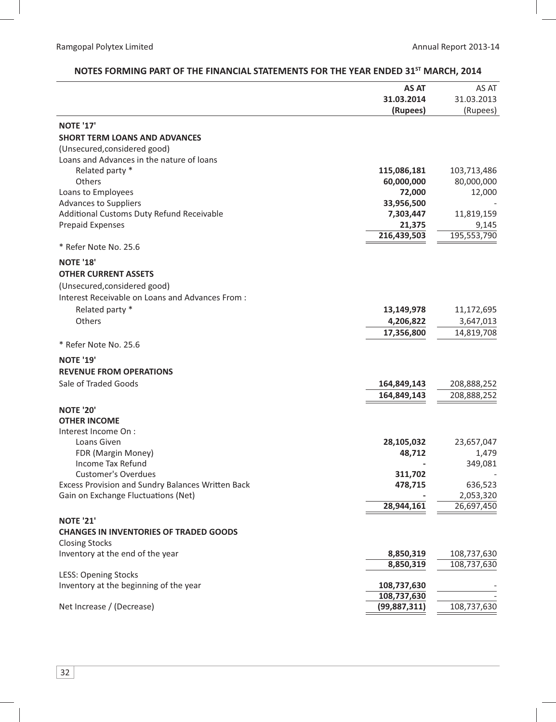### **AS AT 31.03.2014 (Rupees)** AS AT 31.03.2013 (Rupees) **NOTE '17' SHORT TERM LOANS AND ADVANCES** (Unsecured,considered good) Loans and Advances in the nature of loans Related party \* **115,086,181** 103,713,486 Others **60,000,000** 80,000,000 Loans to Employees **72,000** 12,000 Advances to Suppliers **33,956,500** - Additional Customs Duty Refund Receivable **7,303,447** 11,819,159 Prepaid Expenses **21,375** 9,145  **216,439,503** 195,553,790 \* Refer Note No. 25.6 **NOTE '18' OTHER CURRENT ASSETS** (Unsecured,considered good) Interest Receivable on Loans and Advances From : Related party \* **13,149,978** 11,172,695 Others **4,206,822** 3,647,013  **17,356,800** 14,819,708 \* Refer Note No. 25.6 **NOTE '19' REVENUE FROM OPERATIONS** Sale of Traded Goods **164,849,143** 208,888,252  **164,849,143** 208,888,252 **NOTE '20' OTHER INCOME** Interest Income On : Loans Given **28,105,032** 23,657,047 FDR (Margin Money) **48,712** 1,479 Income Tax Refund **-** 349,081 Customer's Overdues **311,702** - Excess Provision and Sundry Balances Written Back **1998 478,715** 636,523 Gain on Exchange Fluctuations (Net) **and Server Constructions** (Net) **-** 2,053,320  **28,944,161** 26,697,450 **NOTE '21' CHANGES IN INVENTORIES OF TRADED GOODS** Closing Stocks Inventory at the end of the year **8,850,319** 108,737,630  **8,850,319** 108,737,630 LESS: Opening Stocks Inventory at the beginning of the year **108,737,630 108,737,630 108,737,630** - Net Increase / (Decrease) **(99,887,311)** 108,737,630

## NOTES FORMING PART OF THE FINANCIAL STATEMENTS FOR THE YEAR ENDED 31<sup>st</sup> MARCH, 2014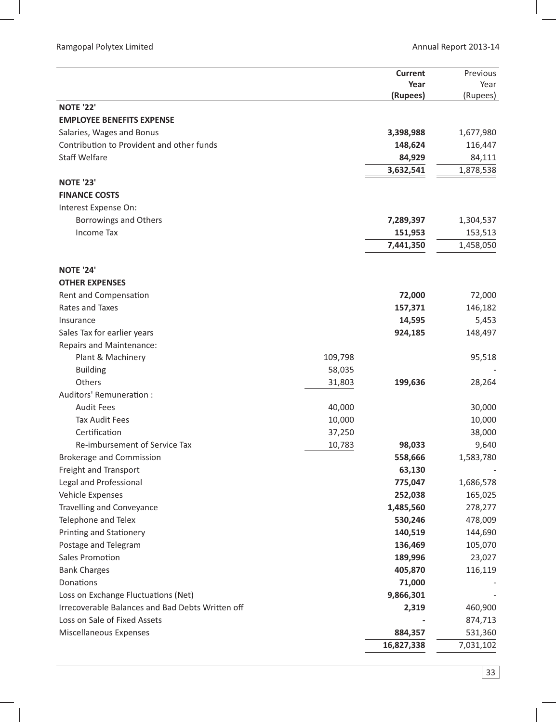|                                                      |         | <b>Current</b>       | Previous           |
|------------------------------------------------------|---------|----------------------|--------------------|
|                                                      |         | Year                 | Year               |
| <b>NOTE '22'</b>                                     |         | (Rupees)             | (Rupees)           |
| <b>EMPLOYEE BENEFITS EXPENSE</b>                     |         |                      |                    |
| Salaries, Wages and Bonus                            |         | 3,398,988            | 1,677,980          |
| Contribution to Provident and other funds            |         | 148,624              | 116,447            |
| <b>Staff Welfare</b>                                 |         | 84,929               | 84,111             |
|                                                      |         | 3,632,541            | 1,878,538          |
| <b>NOTE '23'</b>                                     |         |                      |                    |
| <b>FINANCE COSTS</b>                                 |         |                      |                    |
| Interest Expense On:                                 |         |                      |                    |
| <b>Borrowings and Others</b>                         |         | 7,289,397            | 1,304,537          |
| <b>Income Tax</b>                                    |         | 151,953              | 153,513            |
|                                                      |         | 7,441,350            | 1,458,050          |
|                                                      |         |                      |                    |
| <b>NOTE '24'</b>                                     |         |                      |                    |
| <b>OTHER EXPENSES</b>                                |         |                      |                    |
| Rent and Compensation                                |         | 72,000               | 72,000             |
| Rates and Taxes                                      |         | 157,371              | 146,182            |
| Insurance                                            |         | 14,595               | 5,453              |
| Sales Tax for earlier years                          |         | 924,185              | 148,497            |
| <b>Repairs and Maintenance:</b>                      |         |                      |                    |
| Plant & Machinery                                    | 109,798 |                      | 95,518             |
| <b>Building</b>                                      | 58,035  |                      |                    |
| Others                                               | 31,803  | 199,636              | 28,264             |
| Auditors' Remuneration :                             |         |                      |                    |
| <b>Audit Fees</b>                                    | 40,000  |                      | 30,000             |
| <b>Tax Audit Fees</b>                                | 10,000  |                      | 10,000             |
| Certification                                        | 37,250  |                      | 38,000             |
| Re-imbursement of Service Tax                        | 10,783  | 98,033               | 9,640              |
| <b>Brokerage and Commission</b>                      |         | 558,666              | 1,583,780          |
| Freight and Transport                                |         | 63,130               |                    |
| Legal and Professional                               |         | 775,047              | 1,686,578          |
| Vehicle Expenses<br><b>Travelling and Conveyance</b> |         | 252,038<br>1,485,560 | 165,025            |
| Telephone and Telex                                  |         | 530,246              | 278,277<br>478,009 |
| Printing and Stationery                              |         | 140,519              | 144,690            |
| Postage and Telegram                                 |         | 136,469              | 105,070            |
| <b>Sales Promotion</b>                               |         | 189,996              | 23,027             |
| <b>Bank Charges</b>                                  |         | 405,870              | 116,119            |
| Donations                                            |         | 71,000               |                    |
| Loss on Exchange Fluctuations (Net)                  |         | 9,866,301            |                    |
| Irrecoverable Balances and Bad Debts Written off     |         | 2,319                | 460,900            |
| Loss on Sale of Fixed Assets                         |         |                      | 874,713            |
| Miscellaneous Expenses                               |         | 884,357              | 531,360            |
|                                                      |         | 16,827,338           | 7,031,102          |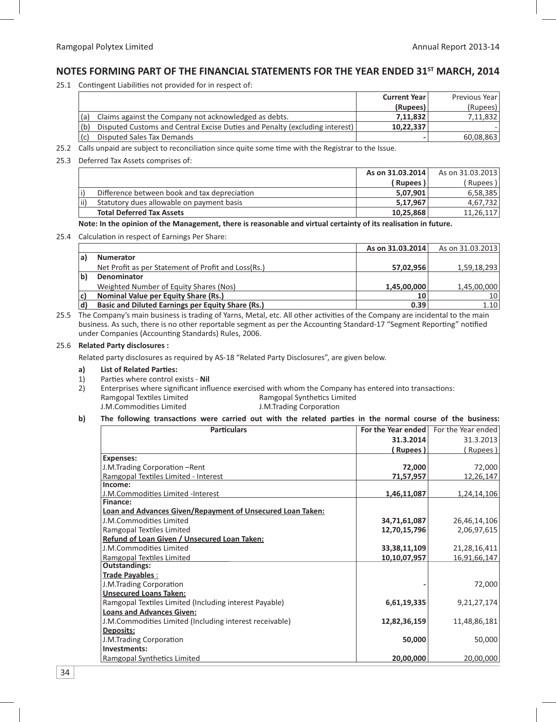# **NOTES FORMING PART OF THE FINANCIAL STATEMENTS FOR THE YEAR ENDED 31ST MARCH, 2014**

25.1 Contingent Liabilities not provided for in respect of:

|                                                                                    | <b>Current Year</b> | Previous Year |
|------------------------------------------------------------------------------------|---------------------|---------------|
|                                                                                    | (Rupees)            | (Rupees)      |
| Claims against the Company not acknowledged as debts.                              | 7.11.832            | 7,11,832      |
| (b)<br>Disputed Customs and Central Excise Duties and Penalty (excluding interest) | 10.22.337           |               |
| Disputed Sales Tax Demands                                                         |                     | 60,08,863     |

25.2 Calls unpaid are subject to reconciliation since quite some time with the Registrar to the Issue.

#### 25.3 Deferred Tax Assets comprises of:

|     |                                              | As on 31.03.2014 | As on 31.03.2013 |
|-----|----------------------------------------------|------------------|------------------|
|     |                                              | Rupees           | Rupees )         |
|     | Difference between book and tax depreciation | 5,07,901         | 6.58.385         |
| ii) | Statutory dues allowable on payment basis    | 5.17.967         | 4.67.732         |
|     | <b>Total Deferred Tax Assets</b>             | 10.25.868        | 11.26.117        |

Note: In the opinion of the Management, there is reasonable and virtual certainty of its realisation in future.

#### 25.4 Calculation in respect of Earnings Per Share:

|              |                                                          | As on 31.03.2014 | As on 31.03.2013 |
|--------------|----------------------------------------------------------|------------------|------------------|
|              | <b>Numerator</b>                                         |                  |                  |
|              | Net Profit as per Statement of Profit and Loss(Rs.)      | 57,02,956        | 1,59,18,293      |
| $\mathbf{b}$ | Denominator                                              |                  |                  |
|              | Weighted Number of Equity Shares (Nos)                   | 1,45,00,000      | 1,45,00,000      |
| C)           | Nominal Value per Equity Share (Rs.)                     | 10               | 10 l             |
|              | <b>Basic and Diluted Earnings per Equity Share (Rs.)</b> | 0.39             | 1.10             |

25.5 The Company's main business is trading of Yarns, Metal, etc. All other activities of the Company are incidental to the main business. As such, there is no other reportable segment as per the Accounting Standard-17 "Segment Reporting" notified under Companies (Accounting Standards) Rules, 2006.

#### 25.6 **Related Party disclosures :**

Related party disclosures as required by AS-18 "Related Party Disclosures", are given below.

#### a) List of Related Parties:

- 1) Parties where control exists Nil
- 2) Enterprises where significant influence exercised with whom the Company has entered into transactions: **Ramgopal Textiles Limited** iles Limited **Exercise Synthetics Limited Ramgopal Synthetics Limited** J.M.Commodities Limited ies Limited **Galacter Contract Contract Contract** J.M.Trading Corporation

#### b) The following transactions were carried out with the related parties in the normal course of the business:

| <b>Particulars</b>                                                | For the Year ended | For the Year ended |
|-------------------------------------------------------------------|--------------------|--------------------|
|                                                                   | 31.3.2014          | 31.3.2013          |
|                                                                   | Rupees)            | (Rupees)           |
| <b>Expenses:</b>                                                  |                    |                    |
| J.M.Trading Corporation -Rent                                     | 72,000             | 72,000             |
| Ramgopal Textiles Limited - Interest                              | 71,57,957          | 12,26,147          |
| Income:                                                           |                    |                    |
| J.M.Commodities Limited -Interest                                 | 1,46,11,087        | 1,24,14,106        |
| <b>Finance:</b>                                                   |                    |                    |
| <b>Loan and Advances Given/Repayment of Unsecured Loan Taken:</b> |                    |                    |
| J.M.Commodities Limited                                           | 34,71,61,087       | 26,46,14,106       |
| Ramgopal Textiles Limited                                         | 12,70,15,796       | 2,06,97,615        |
| Refund of Loan Given / Unsecured Loan Taken:                      |                    |                    |
| J.M.Commodities Limited                                           | 33,38,11,109       | 21,28,16,411       |
| Ramgopal Textiles Limited                                         | 10,10,07,957       | 16,91,66,147       |
| <b>Outstandings:</b>                                              |                    |                    |
| Trade Payables:                                                   |                    |                    |
| J.M.Trading Corporation                                           |                    | 72,000             |
| <b>Unsecured Loans Taken:</b>                                     |                    |                    |
| Ramgopal Textiles Limited (Including interest Payable)            | 6,61,19,335        | 9,21,27,174        |
| <b>Loans and Advances Given:</b>                                  |                    |                    |
| J.M.Commodities Limited (Including interest receivable)           | 12,82,36,159       | 11,48,86,181       |
| Deposits:                                                         |                    |                    |
| J.M.Trading Corporation                                           | 50,000             | 50,000             |
| Investments:                                                      |                    |                    |
| Ramgopal Synthetics Limited                                       | 20,00,000          | 20,00,000          |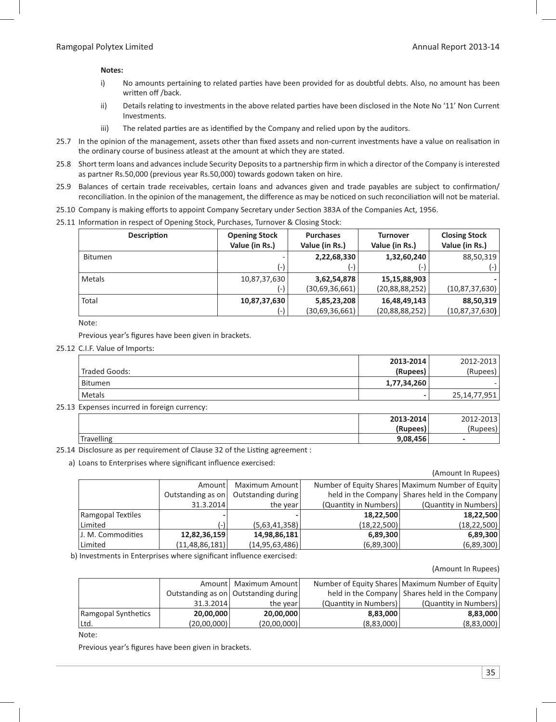#### **Notes:**

- i) No amounts pertaining to related parties have been provided for as doubtful debts. Also, no amount has been written off /back.
- ii) Details relating to investments in the above related parties have been disclosed in the Note No '11' Non Current Investments.
- iii) The related parties are as identified by the Company and relied upon by the auditors.
- 25.7 In the opinion of the management, assets other than fixed assets and non-current investments have a value on realisation in the ordinary course of business atleast at the amount at which they are stated.
- 25.8 Short term loans and advances include Security Deposits to a partnership firm in which a director of the Company is interested as partner Rs.50,000 (previous year Rs.50,000) towards godown taken on hire.
- 25.9 Balances of certain trade receivables, certain loans and advances given and trade payables are subject to confirmation/ reconciliation. In the opinion of the management, the difference as may be noticed on such reconciliation will not be material.
- 25.10 Company is making efforts to appoint Company Secretary under Section 383A of the Companies Act, 1956.
- 25.11 Information in respect of Opening Stock, Purchases, Turnover & Closing Stock:

| <b>Description</b> | <b>Opening Stock</b><br>Value (in Rs.) | <b>Purchases</b><br>Value (in Rs.) | <b>Turnover</b><br>Value (in Rs.) | <b>Closing Stock</b><br>Value (in Rs.) |
|--------------------|----------------------------------------|------------------------------------|-----------------------------------|----------------------------------------|
| <b>Bitumen</b>     | ۰                                      | 2,22,68,330                        | 1,32,60,240                       | 88,50,319                              |
|                    | (-)                                    | (-)                                | ( – )                             | (-)                                    |
| Metals             | 10,87,37,630                           | 3,62,54,878                        | 15,15,88,903                      |                                        |
|                    | (-)                                    | (30,69,36,661)                     | (20, 88, 88, 252)                 | (10, 87, 37, 630)                      |
| Total              | 10,87,37,630                           | 5,85,23,208                        | 16,48,49,143                      | 88,50,319                              |
|                    | (-)                                    | (30,69,36,661)                     | (20, 88, 88, 252)                 | (10, 87, 37, 630)                      |

Note:

Previous year's figures have been given in brackets.

25.12 C.I.F. Value of Imports:

|               | 2013-2014                | 2012-2013    |
|---------------|--------------------------|--------------|
| Traded Goods: | (Rupees)                 | (Rupees)     |
| Bitumen       | 1,77,34,260              |              |
| Metals        | $\overline{\phantom{0}}$ | 25,14,77,951 |

25.13 Expenses incurred in foreign currency:

|           | 2013-2014 | 2012-2013 |
|-----------|-----------|-----------|
|           | (Rupees)  |           |
| rave  ing | 9,08,456  | -         |

25.14 Disclosure as per requirement of Clause 32 of the Listing agreement :

a) Loans to Enterprises where significant influence exercised:

|                   |                   |                    |                       | (Amount In Rupees)                                 |
|-------------------|-------------------|--------------------|-----------------------|----------------------------------------------------|
|                   | Amount            | Maximum Amount     |                       | Number of Equity Shares   Maximum Number of Equity |
|                   | Outstanding as on | Outstanding during |                       | held in the Company Shares held in the Company     |
|                   | 31.3.2014         | the year           | (Quantity in Numbers) | (Quantity in Numbers)                              |
| Ramgopal Textiles |                   |                    | 18,22,500             | 18,22,500                                          |
| Limited           |                   | (5,63,41,358)      | (18, 22, 500)         | (18, 22, 500)                                      |
| J. M. Commodities | 12,82,36,159      | 14,98,86,181       | 6,89,300              | 6,89,300                                           |
| Limited           | (11, 48, 86, 181) | (14, 95, 63, 486)  | (6,89,300)            | (6,89,300)                                         |

b) Investments in Enterprises where significant influence exercised:

#### (Amount In Rupees)

|                     |             | Amount   Maximum Amount                |                       | Number of Equity Shares   Maximum Number of Equity |
|---------------------|-------------|----------------------------------------|-----------------------|----------------------------------------------------|
|                     |             | Outstanding as on   Outstanding during |                       | held in the Company Shares held in the Company     |
|                     | 31.3.2014   | the year                               | (Quantity in Numbers) | (Quantity in Numbers)                              |
| Ramgopal Synthetics | 20,00,000   | 20,00,000                              | 8.83.000              | 8.83.000                                           |
| Ltd.                | (20,00,000) | (20,00,000)                            | (8,83,000)            | (8,83,000)                                         |

Note:

Previous year's figures have been given in brackets.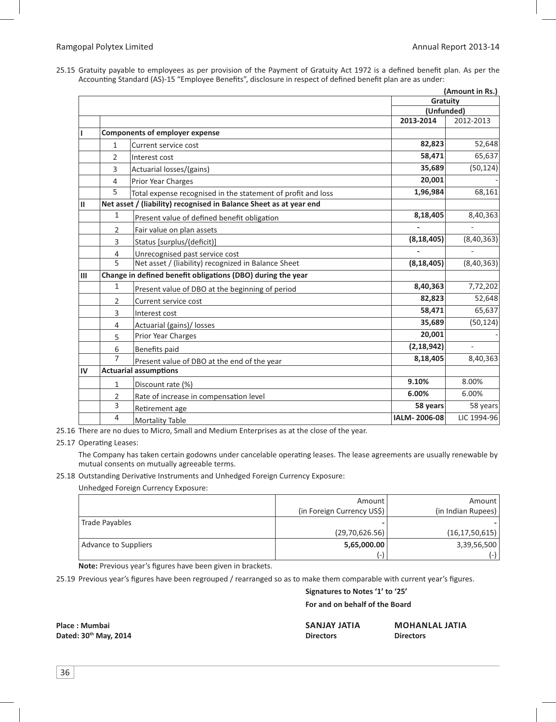25.15 Gratuity payable to employees as per provision of the Payment of Gratuity Act 1972 is a defined benefit plan. As per the Accounting Standard (AS)-15 "Employee Benefits", disclosure in respect of defined benefit plan are as under:

|              |                |                                                                    |                        | (Amount in Rs.) |
|--------------|----------------|--------------------------------------------------------------------|------------------------|-----------------|
|              |                |                                                                    | Gratuity<br>(Unfunded) |                 |
|              |                |                                                                    |                        |                 |
|              |                |                                                                    | 2013-2014              | 2012-2013       |
| L            |                | <b>Components of employer expense</b>                              |                        |                 |
|              | $\mathbf{1}$   | Current service cost                                               | 82,823                 | 52,648          |
|              | $\overline{2}$ | Interest cost                                                      | 58,471                 | 65,637          |
|              | 3              | Actuarial losses/(gains)                                           | 35,689                 | (50, 124)       |
|              | 4              | <b>Prior Year Charges</b>                                          | 20,001                 |                 |
|              | 5              | Total expense recognised in the statement of profit and loss       | 1,96,984               | 68,161          |
| $\mathbf{H}$ |                | Net asset / (liability) recognised in Balance Sheet as at year end |                        |                 |
|              | 1              | Present value of defined benefit obligation                        | 8,18,405               | 8,40,363        |
|              | 2              | Fair value on plan assets                                          |                        |                 |
|              | 3              | Status [surplus/(deficit)]                                         | (8, 18, 405)           | (8,40,363)      |
|              | 4              | Unrecognised past service cost                                     |                        |                 |
|              | 5              | Net asset / (liability) recognized in Balance Sheet                | (8, 18, 405)           | (8, 40, 363)    |
| III          |                | Change in defined benefit obligations (DBO) during the year        |                        |                 |
|              | $\mathbf{1}$   | Present value of DBO at the beginning of period                    | 8,40,363               | 7,72,202        |
|              | 2              | Current service cost                                               | 82,823                 | 52,648          |
|              | 3              | Interest cost                                                      | 58,471                 | 65,637          |
|              | $\overline{4}$ | Actuarial (gains)/ losses                                          | 35,689                 | (50, 124)       |
|              | 5              | <b>Prior Year Charges</b>                                          | 20,001                 |                 |
|              | 6              | <b>Benefits paid</b>                                               | (2, 18, 942)           |                 |
|              | $\overline{7}$ | Present value of DBO at the end of the year                        | 8,18,405               | 8,40,363        |
| IV           |                | <b>Actuarial assumptions</b>                                       |                        |                 |
|              | 1              | Discount rate (%)                                                  | 9.10%                  | 8.00%           |
|              | 2              | Rate of increase in compensation level                             | 6.00%                  | 6.00%           |
|              | 3              | Retirement age                                                     | 58 years               | 58 years        |
|              | 4              | <b>Mortality Table</b>                                             | IALM-2006-08           | LIC 1994-96     |

25.16 There are no dues to Micro, Small and Medium Enterprises as at the close of the year.

#### 25.17 Operating Leases:

The Company has taken certain godowns under cancelable operating leases. The lease agreements are usually renewable by mutual consents on mutually agreeable terms.

#### 25.18 Outstanding Derivative Instruments and Unhedged Foreign Currency Exposure:

Unhedged Foreign Currency Exposure:

|                      | Amount                     | Amount             |
|----------------------|----------------------------|--------------------|
|                      | (in Foreign Currency US\$) | (in Indian Rupees) |
| Trade Payables       |                            |                    |
|                      | (29,70,626.56)             | (16, 17, 50, 615)  |
| Advance to Suppliers | 5,65,000.00                | 3,39,56,500        |
|                      | (-)                        | ( – )              |

Note: Previous year's figures have been given in brackets.

25.19 Previous year's figures have been regrouped / rearranged so as to make them comparable with current year's figures.

 **Signatures to Notes '1' to '25'**

#### **For and on behalf of the Board**

**Place : Mumbai SANJAY JATIA MOHANLAL JATIA Dated: 30th May, 2014 Directors Directors**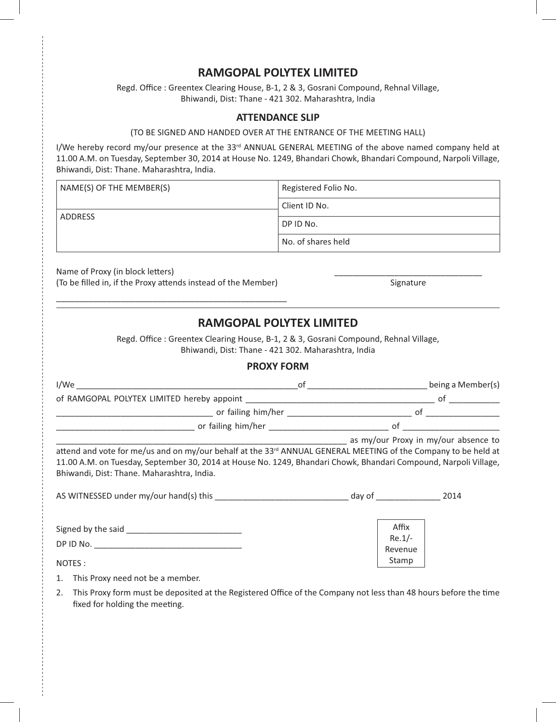# **RAMGOPAL POLYTEX LIMITED**

Regd. Office : Greentex Clearing House, B-1, 2 & 3, Gosrani Compound, Rehnal Village, Bhiwandi, Dist: Thane - 421 302. Maharashtra, India

### **ATTENDANCE SLIP**

#### (TO BE SIGNED AND HANDED OVER AT THE ENTRANCE OF THE MEETING HALL)

I/We hereby record my/our presence at the 33<sup>rd</sup> ANNUAL GENERAL MEETING of the above named company held at 11.00 A.M. on Tuesday, September 30, 2014 at House No. 1249, Bhandari Chowk, Bhandari Compound, Narpoli Village, Bhiwandi, Dist: Thane. Maharashtra, India.

| NAME(S) OF THE MEMBER(S) | Registered Folio No. |
|--------------------------|----------------------|
|                          | Client ID No.        |
| <b>ADDRESS</b>           | DP ID No.            |
|                          | No. of shares held   |

Name of Proxy (in block letters) (To be filled in, if the Proxy attends instead of the Member) Signature Signature

\_\_\_\_\_\_\_\_\_\_\_\_\_\_\_\_\_\_\_\_\_\_\_\_\_\_\_\_\_\_\_\_\_\_\_\_\_\_\_\_\_\_\_\_\_\_\_\_\_\_

# **RAMGOPAL POLYTEX LIMITED**

Regd. Office : Greentex Clearing House, B-1, 2 & 3, Gosrani Compound, Rehnal Village, Bhiwandi, Dist: Thane - 421 302. Maharashtra, India

## **PROXY FORM**

| I/We                                       |  | being a Member(s) |
|--------------------------------------------|--|-------------------|
| of RAMGOPAL POLYTEX LIMITED hereby appoint |  |                   |
| or failing him/her                         |  |                   |
| or failing him/her                         |  |                   |

as my/our Proxy in my/our absence to

attend and vote for me/us and on my/our behalf at the 33<sup>rd</sup> ANNUAL GENERAL MEETING of the Company to be held at 11.00 A.M. on Tuesday, September 30, 2014 at House No. 1249, Bhandari Chowk, Bhandari Compound, Narpoli Village, Bhiwandi, Dist: Thane. Maharashtra, India.

| AS WITNESSED under my/our hand(s) this | day of                       | 2014 |
|----------------------------------------|------------------------------|------|
| Signed by the said<br>DP ID No.        | Affix<br>$Re.1/-$<br>Revenue |      |
| NOTES :                                | Stamp                        |      |

- 1. This Proxy need not be a member.
- 2. This Proxy form must be deposited at the Registered Office of the Company not less than 48 hours before the time fixed for holding the meeting.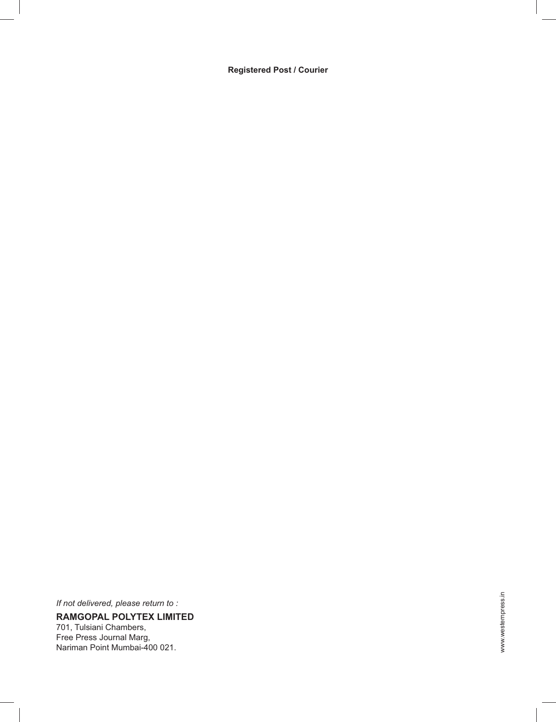**Registered Post / Courier**

*If not delivered, please return to :* **RAMGOPAL POLYTEX LIMITED** 701, Tulsiani Chambers, Free Press Journal Marg, Nariman Point Mumbai-400 021.